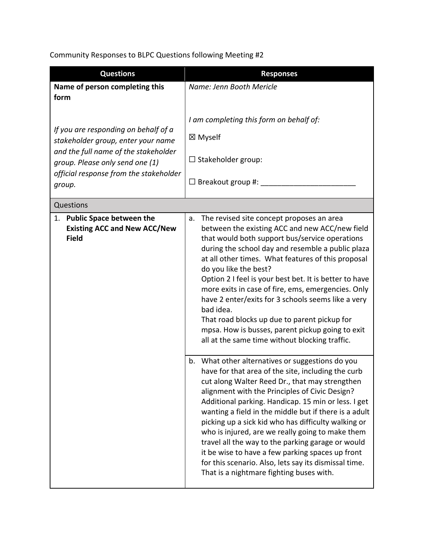Community Responses to BLPC Questions following Meeting #2

| <b>Questions</b>                                                                                                                                                                                          | <b>Responses</b>                                                                                                                                                                                                                                                                                                                                                                                                                                                                                                                                                                                                                                       |
|-----------------------------------------------------------------------------------------------------------------------------------------------------------------------------------------------------------|--------------------------------------------------------------------------------------------------------------------------------------------------------------------------------------------------------------------------------------------------------------------------------------------------------------------------------------------------------------------------------------------------------------------------------------------------------------------------------------------------------------------------------------------------------------------------------------------------------------------------------------------------------|
| Name of person completing this                                                                                                                                                                            | Name: Jenn Booth Mericle                                                                                                                                                                                                                                                                                                                                                                                                                                                                                                                                                                                                                               |
| form                                                                                                                                                                                                      |                                                                                                                                                                                                                                                                                                                                                                                                                                                                                                                                                                                                                                                        |
| If you are responding on behalf of a<br>stakeholder group, enter your name<br>and the full name of the stakeholder<br>group. Please only send one (1)<br>official response from the stakeholder<br>group. | I am completing this form on behalf of:<br>⊠ Myself<br>$\Box$ Stakeholder group:<br>$\Box$ Breakout group #:                                                                                                                                                                                                                                                                                                                                                                                                                                                                                                                                           |
| Questions                                                                                                                                                                                                 |                                                                                                                                                                                                                                                                                                                                                                                                                                                                                                                                                                                                                                                        |
| 1. Public Space between the<br><b>Existing ACC and New ACC/New</b><br><b>Field</b>                                                                                                                        | The revised site concept proposes an area<br>a.<br>between the existing ACC and new ACC/new field<br>that would both support bus/service operations<br>during the school day and resemble a public plaza<br>at all other times. What features of this proposal<br>do you like the best?<br>Option 2 I feel is your best bet. It is better to have<br>more exits in case of fire, ems, emergencies. Only<br>have 2 enter/exits for 3 schools seems like a very<br>bad idea.<br>That road blocks up due to parent pickup for<br>mpsa. How is busses, parent pickup going to exit<br>all at the same time without blocking traffic.                       |
|                                                                                                                                                                                                           | What other alternatives or suggestions do you<br>b.<br>have for that area of the site, including the curb<br>cut along Walter Reed Dr., that may strengthen<br>alignment with the Principles of Civic Design?<br>Additional parking. Handicap. 15 min or less. I get<br>wanting a field in the middle but if there is a adult<br>picking up a sick kid who has difficulty walking or<br>who is injured, are we really going to make them<br>travel all the way to the parking garage or would<br>it be wise to have a few parking spaces up front<br>for this scenario. Also, lets say its dismissal time.<br>That is a nightmare fighting buses with. |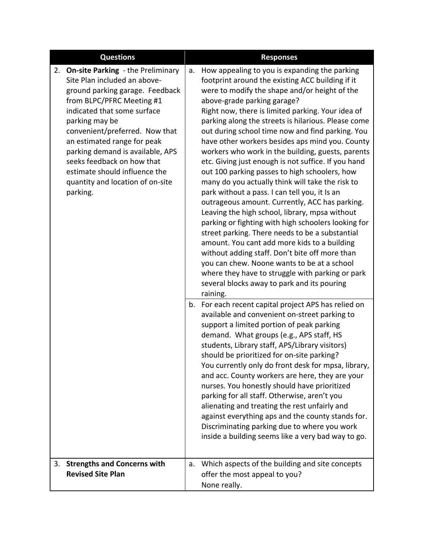| <b>Questions</b>                                                                                                                                                                                                                                                                                                                                                                                                    |    | <b>Responses</b>                                                                                                                                                                                                                                                                                                                                                                                                                                                                                                                                                                                                                                                                                                                                                                                                                                                                                                                                                                                                                                                                                                                                     |
|---------------------------------------------------------------------------------------------------------------------------------------------------------------------------------------------------------------------------------------------------------------------------------------------------------------------------------------------------------------------------------------------------------------------|----|------------------------------------------------------------------------------------------------------------------------------------------------------------------------------------------------------------------------------------------------------------------------------------------------------------------------------------------------------------------------------------------------------------------------------------------------------------------------------------------------------------------------------------------------------------------------------------------------------------------------------------------------------------------------------------------------------------------------------------------------------------------------------------------------------------------------------------------------------------------------------------------------------------------------------------------------------------------------------------------------------------------------------------------------------------------------------------------------------------------------------------------------------|
| <b>On-site Parking - the Preliminary</b><br>2.<br>Site Plan included an above-<br>ground parking garage. Feedback<br>from BLPC/PFRC Meeting #1<br>indicated that some surface<br>parking may be<br>convenient/preferred. Now that<br>an estimated range for peak<br>parking demand is available, APS<br>seeks feedback on how that<br>estimate should influence the<br>quantity and location of on-site<br>parking. |    | How appealing to you is expanding the parking<br>footprint around the existing ACC building if it<br>were to modify the shape and/or height of the<br>above-grade parking garage?<br>Right now, there is limited parking. Your idea of<br>parking along the streets is hilarious. Please come<br>out during school time now and find parking. You<br>have other workers besides aps mind you. County<br>workers who work in the building, guests, parents<br>etc. Giving just enough is not suffice. If you hand<br>out 100 parking passes to high schoolers, how<br>many do you actually think will take the risk to<br>park without a pass. I can tell you, it Is an<br>outrageous amount. Currently, ACC has parking.<br>Leaving the high school, library, mpsa without<br>parking or fighting with high schoolers looking for<br>street parking. There needs to be a substantial<br>amount. You cant add more kids to a building<br>without adding staff. Don't bite off more than<br>you can chew. Noone wants to be at a school<br>where they have to struggle with parking or park<br>several blocks away to park and its pouring<br>raining. |
|                                                                                                                                                                                                                                                                                                                                                                                                                     |    | b. For each recent capital project APS has relied on<br>available and convenient on-street parking to<br>support a limited portion of peak parking<br>demand. What groups (e.g., APS staff, HS<br>students, Library staff, APS/Library visitors)<br>should be prioritized for on-site parking?<br>You currently only do front desk for mpsa, library,<br>and acc. County workers are here, they are your<br>nurses. You honestly should have prioritized<br>parking for all staff. Otherwise, aren't you<br>alienating and treating the rest unfairly and<br>against everything aps and the county stands for.<br>Discriminating parking due to where you work<br>inside a building seems like a very bad way to go.                                                                                                                                                                                                                                                                                                                                                                                                                                 |
| <b>Strengths and Concerns with</b><br>3.<br><b>Revised Site Plan</b>                                                                                                                                                                                                                                                                                                                                                | a. | Which aspects of the building and site concepts<br>offer the most appeal to you?<br>None really.                                                                                                                                                                                                                                                                                                                                                                                                                                                                                                                                                                                                                                                                                                                                                                                                                                                                                                                                                                                                                                                     |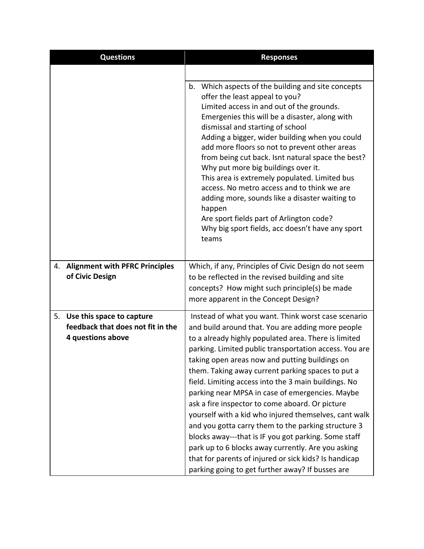| <b>Questions</b>                                                                          | <b>Responses</b>                                                                                                                                                                                                                                                                                                                                                                                                                                                                                                                                                                                                                                                                                                                                                                                                                           |
|-------------------------------------------------------------------------------------------|--------------------------------------------------------------------------------------------------------------------------------------------------------------------------------------------------------------------------------------------------------------------------------------------------------------------------------------------------------------------------------------------------------------------------------------------------------------------------------------------------------------------------------------------------------------------------------------------------------------------------------------------------------------------------------------------------------------------------------------------------------------------------------------------------------------------------------------------|
|                                                                                           |                                                                                                                                                                                                                                                                                                                                                                                                                                                                                                                                                                                                                                                                                                                                                                                                                                            |
|                                                                                           | b.<br>Which aspects of the building and site concepts<br>offer the least appeal to you?<br>Limited access in and out of the grounds.<br>Emergenies this will be a disaster, along with<br>dismissal and starting of school<br>Adding a bigger, wider building when you could<br>add more floors so not to prevent other areas<br>from being cut back. Isnt natural space the best?<br>Why put more big buildings over it.<br>This area is extremely populated. Limited bus<br>access. No metro access and to think we are<br>adding more, sounds like a disaster waiting to<br>happen<br>Are sport fields part of Arlington code?<br>Why big sport fields, acc doesn't have any sport<br>teams                                                                                                                                             |
| <b>Alignment with PFRC Principles</b><br>4.<br>of Civic Design                            | Which, if any, Principles of Civic Design do not seem<br>to be reflected in the revised building and site<br>concepts? How might such principle(s) be made<br>more apparent in the Concept Design?                                                                                                                                                                                                                                                                                                                                                                                                                                                                                                                                                                                                                                         |
| 5.<br>Use this space to capture<br>feedback that does not fit in the<br>4 questions above | Instead of what you want. Think worst case scenario<br>and build around that. You are adding more people<br>to a already highly populated area. There is limited<br>parking. Limited public transportation access. You are<br>taking open areas now and putting buildings on<br>them. Taking away current parking spaces to put a<br>field. Limiting access into the 3 main buildings. No<br>parking near MPSA in case of emergencies. Maybe<br>ask a fire inspector to come aboard. Or picture<br>yourself with a kid who injured themselves, cant walk<br>and you gotta carry them to the parking structure 3<br>blocks away---that is IF you got parking. Some staff<br>park up to 6 blocks away currently. Are you asking<br>that for parents of injured or sick kids? Is handicap<br>parking going to get further away? If busses are |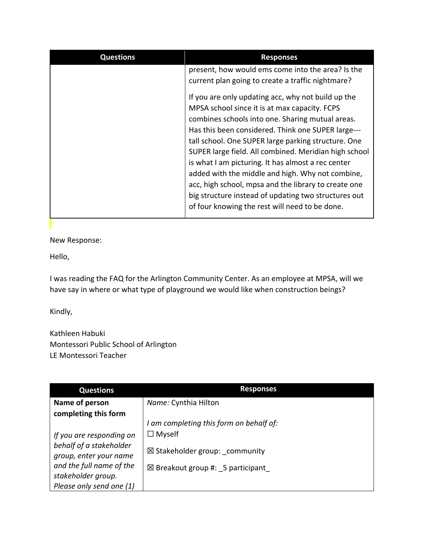| <b>Questions</b> | <b>Responses</b>                                      |
|------------------|-------------------------------------------------------|
|                  | present, how would ems come into the area? Is the     |
|                  | current plan going to create a traffic nightmare?     |
|                  | If you are only updating acc, why not build up the    |
|                  | MPSA school since it is at max capacity. FCPS         |
|                  | combines schools into one. Sharing mutual areas.      |
|                  | Has this been considered. Think one SUPER large---    |
|                  | tall school. One SUPER large parking structure. One   |
|                  | SUPER large field. All combined. Meridian high school |
|                  | is what I am picturing. It has almost a rec center    |
|                  | added with the middle and high. Why not combine,      |
|                  | acc, high school, mpsa and the library to create one  |
|                  | big structure instead of updating two structures out  |
|                  | of four knowing the rest will need to be done.        |
|                  |                                                       |

New Response:

Hello,

I was reading the FAQ for the Arlington Community Center. As an employee at MPSA, will we have say in where or what type of playground we would like when construction beings?

Kindly,

Kathleen Habuki Montessori Public School of Arlington LE Montessori Teacher

| <b>Questions</b>         | <b>Responses</b>                            |
|--------------------------|---------------------------------------------|
| Name of person           | Name: Cynthia Hilton                        |
| completing this form     |                                             |
|                          | I am completing this form on behalf of:     |
| If you are responding on | $\Box$ Myself                               |
| behalf of a stakeholder  | $\boxtimes$ Stakeholder group: community    |
| group, enter your name   |                                             |
| and the full name of the | $\boxtimes$ Breakout group #: 5 participant |
| stakeholder group.       |                                             |
| Please only send one (1) |                                             |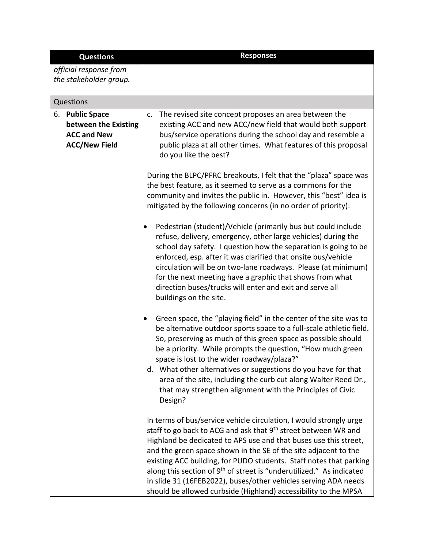| <b>Questions</b>                                                                      | <b>Responses</b>                                                                                                                                                                                                                                                                                                                                                                                                                                                                                                                                                                        |
|---------------------------------------------------------------------------------------|-----------------------------------------------------------------------------------------------------------------------------------------------------------------------------------------------------------------------------------------------------------------------------------------------------------------------------------------------------------------------------------------------------------------------------------------------------------------------------------------------------------------------------------------------------------------------------------------|
| official response from                                                                |                                                                                                                                                                                                                                                                                                                                                                                                                                                                                                                                                                                         |
| the stakeholder group.                                                                |                                                                                                                                                                                                                                                                                                                                                                                                                                                                                                                                                                                         |
| Questions                                                                             |                                                                                                                                                                                                                                                                                                                                                                                                                                                                                                                                                                                         |
| 6. Public Space<br>between the Existing<br><b>ACC and New</b><br><b>ACC/New Field</b> | c. The revised site concept proposes an area between the<br>existing ACC and new ACC/new field that would both support<br>bus/service operations during the school day and resemble a<br>public plaza at all other times. What features of this proposal<br>do you like the best?                                                                                                                                                                                                                                                                                                       |
|                                                                                       | During the BLPC/PFRC breakouts, I felt that the "plaza" space was<br>the best feature, as it seemed to serve as a commons for the<br>community and invites the public in. However, this "best" idea is<br>mitigated by the following concerns (in no order of priority):                                                                                                                                                                                                                                                                                                                |
|                                                                                       | Pedestrian (student)/Vehicle (primarily bus but could include<br>refuse, delivery, emergency, other large vehicles) during the<br>school day safety. I question how the separation is going to be<br>enforced, esp. after it was clarified that onsite bus/vehicle<br>circulation will be on two-lane roadways. Please (at minimum)<br>for the next meeting have a graphic that shows from what<br>direction buses/trucks will enter and exit and serve all<br>buildings on the site.                                                                                                   |
|                                                                                       | Green space, the "playing field" in the center of the site was to<br>be alternative outdoor sports space to a full-scale athletic field.<br>So, preserving as much of this green space as possible should<br>be a priority. While prompts the question, "How much green<br>space is lost to the wider roadway/plaza?"                                                                                                                                                                                                                                                                   |
|                                                                                       | d. What other alternatives or suggestions do you have for that<br>area of the site, including the curb cut along Walter Reed Dr.,<br>that may strengthen alignment with the Principles of Civic<br>Design?                                                                                                                                                                                                                                                                                                                                                                              |
|                                                                                       | In terms of bus/service vehicle circulation, I would strongly urge<br>staff to go back to ACG and ask that 9 <sup>th</sup> street between WR and<br>Highland be dedicated to APS use and that buses use this street,<br>and the green space shown in the SE of the site adjacent to the<br>existing ACC building, for PUDO students. Staff notes that parking<br>along this section of 9 <sup>th</sup> of street is "underutilized." As indicated<br>in slide 31 (16FEB2022), buses/other vehicles serving ADA needs<br>should be allowed curbside (Highland) accessibility to the MPSA |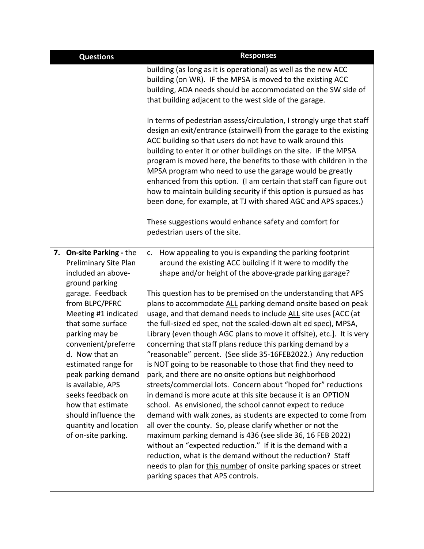| <b>Questions</b>                                                                                                                                                                                                                                                                                                                                                                                                                       | <b>Responses</b>                                                                                                                                                                                                                                                                                                                                                                                                                                                                                                                                                                                                                                                                                                                                                                                                                                                                                                                                                                                                                                                                                                                                                                                                                                                                                                                                                                                                                |
|----------------------------------------------------------------------------------------------------------------------------------------------------------------------------------------------------------------------------------------------------------------------------------------------------------------------------------------------------------------------------------------------------------------------------------------|---------------------------------------------------------------------------------------------------------------------------------------------------------------------------------------------------------------------------------------------------------------------------------------------------------------------------------------------------------------------------------------------------------------------------------------------------------------------------------------------------------------------------------------------------------------------------------------------------------------------------------------------------------------------------------------------------------------------------------------------------------------------------------------------------------------------------------------------------------------------------------------------------------------------------------------------------------------------------------------------------------------------------------------------------------------------------------------------------------------------------------------------------------------------------------------------------------------------------------------------------------------------------------------------------------------------------------------------------------------------------------------------------------------------------------|
|                                                                                                                                                                                                                                                                                                                                                                                                                                        | building (as long as it is operational) as well as the new ACC<br>building (on WR). IF the MPSA is moved to the existing ACC<br>building, ADA needs should be accommodated on the SW side of<br>that building adjacent to the west side of the garage.                                                                                                                                                                                                                                                                                                                                                                                                                                                                                                                                                                                                                                                                                                                                                                                                                                                                                                                                                                                                                                                                                                                                                                          |
|                                                                                                                                                                                                                                                                                                                                                                                                                                        | In terms of pedestrian assess/circulation, I strongly urge that staff<br>design an exit/entrance (stairwell) from the garage to the existing<br>ACC building so that users do not have to walk around this<br>building to enter it or other buildings on the site. IF the MPSA<br>program is moved here, the benefits to those with children in the<br>MPSA program who need to use the garage would be greatly<br>enhanced from this option. (I am certain that staff can figure out<br>how to maintain building security if this option is pursued as has<br>been done, for example, at TJ with shared AGC and APS spaces.)                                                                                                                                                                                                                                                                                                                                                                                                                                                                                                                                                                                                                                                                                                                                                                                                   |
|                                                                                                                                                                                                                                                                                                                                                                                                                                        | These suggestions would enhance safety and comfort for<br>pedestrian users of the site.                                                                                                                                                                                                                                                                                                                                                                                                                                                                                                                                                                                                                                                                                                                                                                                                                                                                                                                                                                                                                                                                                                                                                                                                                                                                                                                                         |
| <b>On-site Parking - the</b><br>7.<br>Preliminary Site Plan<br>included an above-<br>ground parking<br>garage. Feedback<br>from BLPC/PFRC<br>Meeting #1 indicated<br>that some surface<br>parking may be<br>convenient/preferre<br>d. Now that an<br>estimated range for<br>peak parking demand<br>is available, APS<br>seeks feedback on<br>how that estimate<br>should influence the<br>quantity and location<br>of on-site parking. | How appealing to you is expanding the parking footprint<br>c.<br>around the existing ACC building if it were to modify the<br>shape and/or height of the above-grade parking garage?<br>This question has to be premised on the understanding that APS<br>plans to accommodate ALL parking demand onsite based on peak<br>usage, and that demand needs to include ALL site uses [ACC (at<br>the full-sized ed spec, not the scaled-down alt ed spec), MPSA,<br>Library (even though AGC plans to move it offsite), etc.]. It is very<br>concerning that staff plans reduce this parking demand by a<br>"reasonable" percent. (See slide 35-16FEB2022.) Any reduction<br>is NOT going to be reasonable to those that find they need to<br>park, and there are no onsite options but neighborhood<br>streets/commercial lots. Concern about "hoped for" reductions<br>in demand is more acute at this site because it is an OPTION<br>school. As envisioned, the school cannot expect to reduce<br>demand with walk zones, as students are expected to come from<br>all over the county. So, please clarify whether or not the<br>maximum parking demand is 436 (see slide 36, 16 FEB 2022)<br>without an "expected reduction." If it is the demand with a<br>reduction, what is the demand without the reduction? Staff<br>needs to plan for this number of onsite parking spaces or street<br>parking spaces that APS controls. |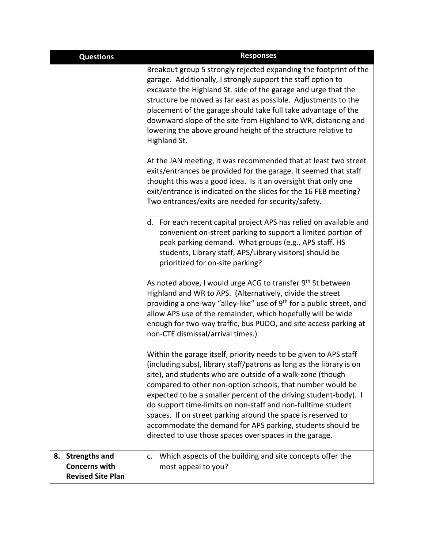| <b>Questions</b>                                                     | <b>Responses</b>                                                                                                                                                                                                                                                                                                                                                                                                                                                                                                                                                                                   |
|----------------------------------------------------------------------|----------------------------------------------------------------------------------------------------------------------------------------------------------------------------------------------------------------------------------------------------------------------------------------------------------------------------------------------------------------------------------------------------------------------------------------------------------------------------------------------------------------------------------------------------------------------------------------------------|
|                                                                      | Breakout group 5 strongly rejected expanding the footprint of the<br>garage. Additionally, I strongly support the staff option to<br>excavate the Highland St. side of the garage and urge that the<br>structure be moved as far east as possible. Adjustments to the<br>placement of the garage should take full take advantage of the<br>downward slope of the site from Highland to WR, distancing and<br>lowering the above ground height of the structure relative to<br>Highland St.                                                                                                         |
|                                                                      | At the JAN meeting, it was recommended that at least two street<br>exits/entrances be provided for the garage. It seemed that staff<br>thought this was a good idea. Is it an oversight that only one<br>exit/entrance is indicated on the slides for the 16 FEB meeting?<br>Two entrances/exits are needed for security/safety.                                                                                                                                                                                                                                                                   |
|                                                                      | d. For each recent capital project APS has relied on available and<br>convenient on-street parking to support a limited portion of<br>peak parking demand. What groups (e.g., APS staff, HS<br>students, Library staff, APS/Library visitors) should be<br>prioritized for on-site parking?                                                                                                                                                                                                                                                                                                        |
|                                                                      | As noted above, I would urge ACG to transfer 9th St between<br>Highland and WR to APS. (Alternatively, divide the street<br>providing a one-way "alley-like" use of 9 <sup>th</sup> for a public street, and<br>allow APS use of the remainder, which hopefully will be wide<br>enough for two-way traffic, bus PUDO, and site access parking at<br>non-CTE dismissal/arrival times.)                                                                                                                                                                                                              |
|                                                                      | Within the garage itself, priority needs to be given to APS staff<br>(including subs), library staff/patrons as long as the library is on<br>site), and students who are outside of a walk-zone (though<br>compared to other non-option schools, that number would be<br>expected to be a smaller percent of the driving student-body). I<br>do support time-limits on non-staff and non-fulltime student<br>spaces. If on street parking around the space is reserved to<br>accommodate the demand for APS parking, students should be<br>directed to use those spaces over spaces in the garage. |
| 8. Strengths and<br><b>Concerns with</b><br><b>Revised Site Plan</b> | Which aspects of the building and site concepts offer the<br>$\mathsf{C}$ .<br>most appeal to you?                                                                                                                                                                                                                                                                                                                                                                                                                                                                                                 |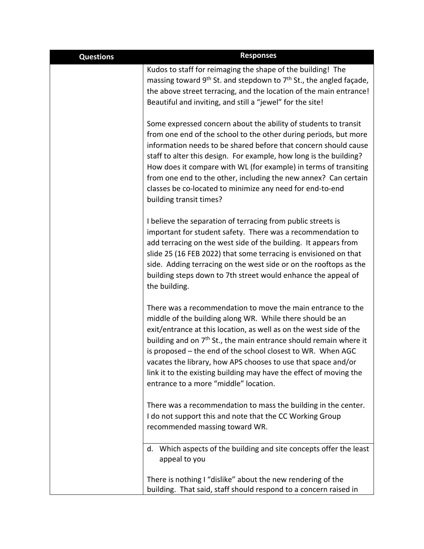| <b>Questions</b> | <b>Responses</b>                                                                                                                                                                                                                                                                                                                                                                                                                                                                                                               |
|------------------|--------------------------------------------------------------------------------------------------------------------------------------------------------------------------------------------------------------------------------------------------------------------------------------------------------------------------------------------------------------------------------------------------------------------------------------------------------------------------------------------------------------------------------|
|                  | Kudos to staff for reimaging the shape of the building! The<br>massing toward $9th$ St. and stepdown to $7th$ St., the angled façade,<br>the above street terracing, and the location of the main entrance!<br>Beautiful and inviting, and still a "jewel" for the site!                                                                                                                                                                                                                                                       |
|                  | Some expressed concern about the ability of students to transit<br>from one end of the school to the other during periods, but more<br>information needs to be shared before that concern should cause<br>staff to alter this design. For example, how long is the building?<br>How does it compare with WL (for example) in terms of transiting<br>from one end to the other, including the new annex? Can certain<br>classes be co-located to minimize any need for end-to-end<br>building transit times?                    |
|                  | I believe the separation of terracing from public streets is<br>important for student safety. There was a recommendation to<br>add terracing on the west side of the building. It appears from<br>slide 25 (16 FEB 2022) that some terracing is envisioned on that<br>side. Adding terracing on the west side or on the rooftops as the<br>building steps down to 7th street would enhance the appeal of<br>the building.                                                                                                      |
|                  | There was a recommendation to move the main entrance to the<br>middle of the building along WR. While there should be an<br>exit/entrance at this location, as well as on the west side of the<br>building and on 7 <sup>th</sup> St., the main entrance should remain where it<br>is proposed – the end of the school closest to WR. When AGC<br>vacates the library, how APS chooses to use that space and/or<br>link it to the existing building may have the effect of moving the<br>entrance to a more "middle" location. |
|                  | There was a recommendation to mass the building in the center.<br>I do not support this and note that the CC Working Group<br>recommended massing toward WR.                                                                                                                                                                                                                                                                                                                                                                   |
|                  | d. Which aspects of the building and site concepts offer the least<br>appeal to you                                                                                                                                                                                                                                                                                                                                                                                                                                            |
|                  | There is nothing I "dislike" about the new rendering of the<br>building. That said, staff should respond to a concern raised in                                                                                                                                                                                                                                                                                                                                                                                                |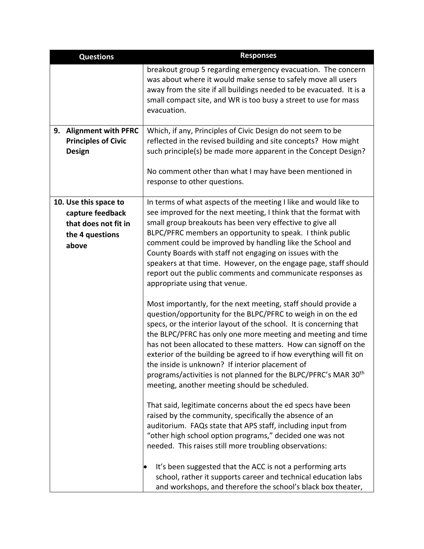| <b>Questions</b>                            | <b>Responses</b>                                                                                                                                                                                                                                                                                                                                                                                                                                                                                                                                                                                  |
|---------------------------------------------|---------------------------------------------------------------------------------------------------------------------------------------------------------------------------------------------------------------------------------------------------------------------------------------------------------------------------------------------------------------------------------------------------------------------------------------------------------------------------------------------------------------------------------------------------------------------------------------------------|
|                                             | breakout group 5 regarding emergency evacuation. The concern<br>was about where it would make sense to safely move all users<br>away from the site if all buildings needed to be evacuated. It is a<br>small compact site, and WR is too busy a street to use for mass<br>evacuation.                                                                                                                                                                                                                                                                                                             |
| 9. Alignment with PFRC                      | Which, if any, Principles of Civic Design do not seem to be                                                                                                                                                                                                                                                                                                                                                                                                                                                                                                                                       |
| <b>Principles of Civic</b><br><b>Design</b> | reflected in the revised building and site concepts? How might<br>such principle(s) be made more apparent in the Concept Design?                                                                                                                                                                                                                                                                                                                                                                                                                                                                  |
|                                             | No comment other than what I may have been mentioned in<br>response to other questions.                                                                                                                                                                                                                                                                                                                                                                                                                                                                                                           |
| 10. Use this space to                       | In terms of what aspects of the meeting I like and would like to                                                                                                                                                                                                                                                                                                                                                                                                                                                                                                                                  |
| capture feedback                            | see improved for the next meeting, I think that the format with                                                                                                                                                                                                                                                                                                                                                                                                                                                                                                                                   |
| that does not fit in                        | small group breakouts has been very effective to give all                                                                                                                                                                                                                                                                                                                                                                                                                                                                                                                                         |
| the 4 questions                             | BLPC/PFRC members an opportunity to speak. I think public<br>comment could be improved by handling like the School and                                                                                                                                                                                                                                                                                                                                                                                                                                                                            |
| above                                       | County Boards with staff not engaging on issues with the                                                                                                                                                                                                                                                                                                                                                                                                                                                                                                                                          |
|                                             | speakers at that time. However, on the engage page, staff should<br>report out the public comments and communicate responses as<br>appropriate using that venue.                                                                                                                                                                                                                                                                                                                                                                                                                                  |
|                                             | Most importantly, for the next meeting, staff should provide a<br>question/opportunity for the BLPC/PFRC to weigh in on the ed<br>specs, or the interior layout of the school. It is concerning that<br>the BLPC/PFRC has only one more meeting and meeting and time<br>has not been allocated to these matters. How can signoff on the<br>exterior of the building be agreed to if how everything will fit on<br>the inside is unknown? If interior placement of<br>programs/activities is not planned for the BLPC/PFRC's MAR 30 <sup>th</sup><br>meeting, another meeting should be scheduled. |
|                                             | That said, legitimate concerns about the ed specs have been<br>raised by the community, specifically the absence of an<br>auditorium. FAQs state that APS staff, including input from<br>"other high school option programs," decided one was not<br>needed. This raises still more troubling observations:                                                                                                                                                                                                                                                                                       |
|                                             | It's been suggested that the ACC is not a performing arts<br>school, rather it supports career and technical education labs<br>and workshops, and therefore the school's black box theater,                                                                                                                                                                                                                                                                                                                                                                                                       |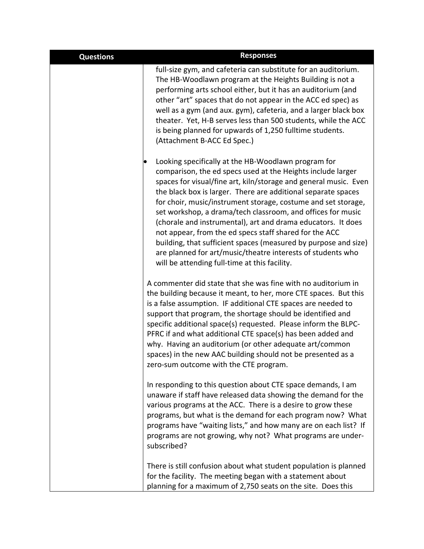| <b>Questions</b> | <b>Responses</b>                                                                                                                                                                                                                                                                                                                                                                                                                                                                                                                                                                                                                                                                                     |
|------------------|------------------------------------------------------------------------------------------------------------------------------------------------------------------------------------------------------------------------------------------------------------------------------------------------------------------------------------------------------------------------------------------------------------------------------------------------------------------------------------------------------------------------------------------------------------------------------------------------------------------------------------------------------------------------------------------------------|
|                  | full-size gym, and cafeteria can substitute for an auditorium.<br>The HB-Woodlawn program at the Heights Building is not a<br>performing arts school either, but it has an auditorium (and<br>other "art" spaces that do not appear in the ACC ed spec) as<br>well as a gym (and aux. gym), cafeteria, and a larger black box<br>theater. Yet, H-B serves less than 500 students, while the ACC<br>is being planned for upwards of 1,250 fulltime students.<br>(Attachment B-ACC Ed Spec.)                                                                                                                                                                                                           |
|                  | Looking specifically at the HB-Woodlawn program for<br>comparison, the ed specs used at the Heights include larger<br>spaces for visual/fine art, kiln/storage and general music. Even<br>the black box is larger. There are additional separate spaces<br>for choir, music/instrument storage, costume and set storage,<br>set workshop, a drama/tech classroom, and offices for music<br>(chorale and instrumental), art and drama educators. It does<br>not appear, from the ed specs staff shared for the ACC<br>building, that sufficient spaces (measured by purpose and size)<br>are planned for art/music/theatre interests of students who<br>will be attending full-time at this facility. |
|                  | A commenter did state that she was fine with no auditorium in<br>the building because it meant, to her, more CTE spaces. But this<br>is a false assumption. IF additional CTE spaces are needed to<br>support that program, the shortage should be identified and<br>specific additional space(s) requested. Please inform the BLPC-<br>PFRC if and what additional CTE space(s) has been added and<br>why. Having an auditorium (or other adequate art/common<br>spaces) in the new AAC building should not be presented as a<br>zero-sum outcome with the CTE program.                                                                                                                             |
|                  | In responding to this question about CTE space demands, I am<br>unaware if staff have released data showing the demand for the<br>various programs at the ACC. There is a desire to grow these<br>programs, but what is the demand for each program now? What<br>programs have "waiting lists," and how many are on each list? If<br>programs are not growing, why not? What programs are under-<br>subscribed?                                                                                                                                                                                                                                                                                      |
|                  | There is still confusion about what student population is planned<br>for the facility. The meeting began with a statement about<br>planning for a maximum of 2,750 seats on the site. Does this                                                                                                                                                                                                                                                                                                                                                                                                                                                                                                      |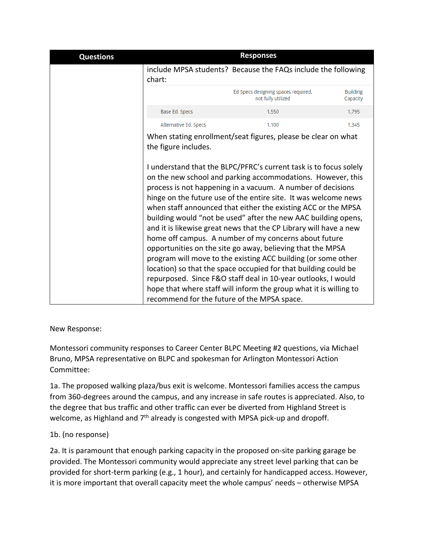| include MPSA students? Because the FAQs include the following<br>Ed Specs designing spaces required,<br>not fully utilized                                                                                                                                                                                                                                                                                                                                                                                                                                                                                                                                                                                                                                                                                                                                                  |                                                                                                              |
|-----------------------------------------------------------------------------------------------------------------------------------------------------------------------------------------------------------------------------------------------------------------------------------------------------------------------------------------------------------------------------------------------------------------------------------------------------------------------------------------------------------------------------------------------------------------------------------------------------------------------------------------------------------------------------------------------------------------------------------------------------------------------------------------------------------------------------------------------------------------------------|--------------------------------------------------------------------------------------------------------------|
|                                                                                                                                                                                                                                                                                                                                                                                                                                                                                                                                                                                                                                                                                                                                                                                                                                                                             |                                                                                                              |
|                                                                                                                                                                                                                                                                                                                                                                                                                                                                                                                                                                                                                                                                                                                                                                                                                                                                             | <b>Building</b><br>Capacity                                                                                  |
| 1,550                                                                                                                                                                                                                                                                                                                                                                                                                                                                                                                                                                                                                                                                                                                                                                                                                                                                       | 1,795                                                                                                        |
| 1,100                                                                                                                                                                                                                                                                                                                                                                                                                                                                                                                                                                                                                                                                                                                                                                                                                                                                       | 1.345                                                                                                        |
| I understand that the BLPC/PFRC's current task is to focus solely<br>on the new school and parking accommodations. However, this<br>process is not happening in a vacuum. A number of decisions<br>hinge on the future use of the entire site. It was welcome news<br>when staff announced that either the existing ACC or the MPSA<br>building would "not be used" after the new AAC building opens,<br>and it is likewise great news that the CP Library will have a new<br>home off campus. A number of my concerns about future<br>opportunities on the site go away, believing that the MPSA<br>program will move to the existing ACC building (or some other<br>location) so that the space occupied for that building could be<br>repurposed. Since F&O staff deal in 10-year outlooks, I would<br>hope that where staff will inform the group what it is willing to |                                                                                                              |
|                                                                                                                                                                                                                                                                                                                                                                                                                                                                                                                                                                                                                                                                                                                                                                                                                                                                             | When stating enrollment/seat figures, please be clear on what<br>recommend for the future of the MPSA space. |

New Response:

Montessori community responses to Career Center BLPC Meeting #2 questions, via Michael Bruno, MPSA representative on BLPC and spokesman for Arlington Montessori Action Committee:

1a. The proposed walking plaza/bus exit is welcome. Montessori families access the campus from 360-degrees around the campus, and any increase in safe routes is appreciated. Also, to the degree that bus traffic and other traffic can ever be diverted from Highland Street is welcome, as Highland and  $7<sup>th</sup>$  already is congested with MPSA pick-up and dropoff.

## 1b. (no response)

2a. It is paramount that enough parking capacity in the proposed on-site parking garage be provided. The Montessori community would appreciate any street level parking that can be provided for short-term parking (e.g., 1 hour), and certainly for handicapped access. However, it is more important that overall capacity meet the whole campus' needs – otherwise MPSA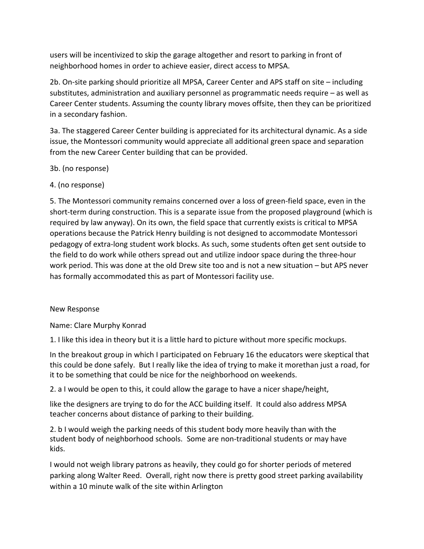users will be incentivized to skip the garage altogether and resort to parking in front of neighborhood homes in order to achieve easier, direct access to MPSA.

2b. On-site parking should prioritize all MPSA, Career Center and APS staff on site – including substitutes, administration and auxiliary personnel as programmatic needs require – as well as Career Center students. Assuming the county library moves offsite, then they can be prioritized in a secondary fashion.

3a. The staggered Career Center building is appreciated for its architectural dynamic. As a side issue, the Montessori community would appreciate all additional green space and separation from the new Career Center building that can be provided.

3b. (no response)

4. (no response)

5. The Montessori community remains concerned over a loss of green-field space, even in the short-term during construction. This is a separate issue from the proposed playground (which is required by law anyway). On its own, the field space that currently exists is critical to MPSA operations because the Patrick Henry building is not designed to accommodate Montessori pedagogy of extra-long student work blocks. As such, some students often get sent outside to the field to do work while others spread out and utilize indoor space during the three-hour work period. This was done at the old Drew site too and is not a new situation – but APS never has formally accommodated this as part of Montessori facility use.

#### New Response

Name: Clare Murphy Konrad

1. I like this idea in theory but it is a little hard to picture without more specific mockups.

In the breakout group in which I participated on February 16 the educators were skeptical that this could be done safely. But I really like the idea of trying to make it morethan just a road, for it to be something that could be nice for the neighborhood on weekends.

2. a I would be open to this, it could allow the garage to have a nicer shape/height,

like the designers are trying to do for the ACC building itself. It could also address MPSA teacher concerns about distance of parking to their building.

2. b I would weigh the parking needs of this student body more heavily than with the student body of neighborhood schools. Some are non-traditional students or may have kids.

I would not weigh library patrons as heavily, they could go for shorter periods of metered parking along Walter Reed. Overall, right now there is pretty good street parking availability within a 10 minute walk of the site within Arlington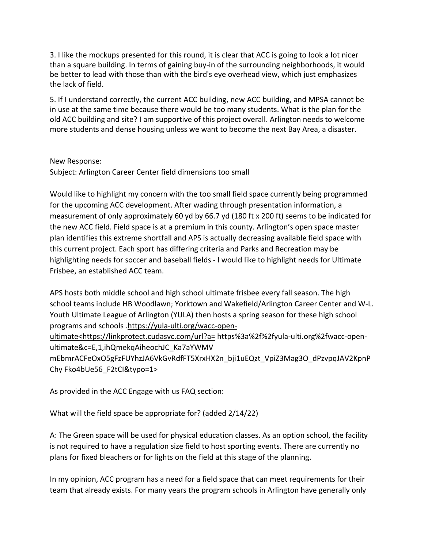3. I like the mockups presented for this round, it is clear that ACC is going to look a lot nicer than a square building. In terms of gaining buy-in of the surrounding neighborhoods, it would be better to lead with those than with the bird's eye overhead view, which just emphasizes the lack of field.

5. If I understand correctly, the current ACC building, new ACC building, and MPSA cannot be in use at the same time because there would be too many students. What is the plan for the old ACC building and site? I am supportive of this project overall. Arlington needs to welcome more students and dense housing unless we want to become the next Bay Area, a disaster.

#### New Response:

Subject: Arlington Career Center field dimensions too small

Would like to highlight my concern with the too small field space currently being programmed for the upcoming ACC development. After wading through presentation information, a measurement of only approximately 60 yd by 66.7 yd (180 ft x 200 ft) seems to be indicated for the new ACC field. Field space is at a premium in this county. Arlington's open space master plan identifies this extreme shortfall and APS is actually decreasing available field space with this current project. Each sport has differing criteria and Parks and Recreation may be highlighting needs for soccer and baseball fields - I would like to highlight needs for Ultimate Frisbee, an established ACC team.

APS hosts both middle school and high school ultimate frisbee every fall season. The high school teams include HB Woodlawn; Yorktown and Wakefield/Arlington Career Center and W-L. Youth Ultimate League of Arlington (YULA) then hosts a spring season for these high school programs and schools [.https://yula-ulti.org/wacc-open-](https://linkprotect.cudasvc.com/url?a=https%3a%2f%2fyula-ulti.org%2fwacc-open-ultimate%26lt%3bhttps%3a%2f%2flinkprotect.cudasvc.com%2furl%3fa%3d&c=E,1,wPoB-Qvv38nXHXuQPGIo0HDWgfiIU-Q3MSkHYnNS1klnNq2vi4FtMT1vJDbKJ03fSAcBdhzPbl5XQhud0UXNee-x7Z6SjEh3JumKYSQb8URR0OzaN0r1_g,,&typo=1&ancr_add=1)

[ultimate<https://linkprotect.cudasvc.com/url?a=](https://linkprotect.cudasvc.com/url?a=https%3a%2f%2fyula-ulti.org%2fwacc-open-ultimate%26lt%3bhttps%3a%2f%2flinkprotect.cudasvc.com%2furl%3fa%3d&c=E,1,wPoB-Qvv38nXHXuQPGIo0HDWgfiIU-Q3MSkHYnNS1klnNq2vi4FtMT1vJDbKJ03fSAcBdhzPbl5XQhud0UXNee-x7Z6SjEh3JumKYSQb8URR0OzaN0r1_g,,&typo=1&ancr_add=1) https%3a%2f%2fyula-ulti.org%2fwacc-openultimate&c=E,1,ihQmekqAiheochJC\_Ka7aYWMV

mEbmrACFeOxO5gFzFUYhzJA6VkGvRdfFT5XrxHX2n\_bji1uEQzt\_VpiZ3Mag3O\_dPzvpqJAV2KpnP Chy Fko4bUe56\_F2tCI&typo=1>

As provided in the ACC Engage with us FAQ section:

What will the field space be appropriate for? (added 2/14/22)

A: The Green space will be used for physical education classes. As an option school, the facility is not required to have a regulation size field to host sporting events. There are currently no plans for fixed bleachers or for lights on the field at this stage of the planning.

In my opinion, ACC program has a need for a field space that can meet requirements for their team that already exists. For many years the program schools in Arlington have generally only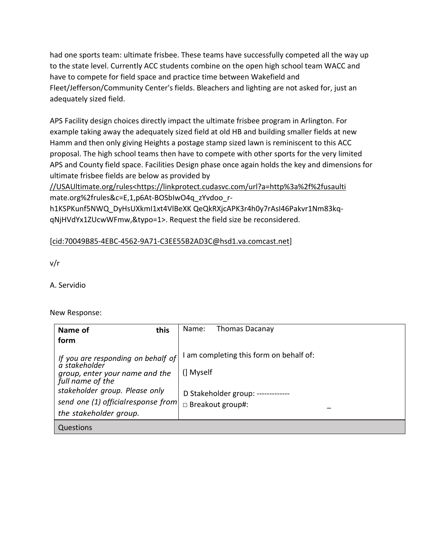had one sports team: ultimate frisbee. These teams have successfully competed all the way up to the state level. Currently ACC students combine on the open high school team WACC and have to compete for field space and practice time between Wakefield and Fleet/Jefferson/Community Center's fields. Bleachers and lighting are not asked for, just an adequately sized field.

APS Facility design choices directly impact the ultimate frisbee program in Arlington. For example taking away the adequately sized field at old HB and building smaller fields at new Hamm and then only giving Heights a postage stamp sized lawn is reminiscent to this ACC proposal. The high school teams then have to compete with other sports for the very limited APS and County field space. Facilities Design phase once again holds the key and dimensions for ultimate frisbee fields are below as provided by

[//USAUltimate.org/rules<https://linkprotect.cudasvc.com/url?a=http%3a%2f%2fusaulti](https://linkprotect.cudasvc.com/url?a=%2f%2fUSAUltimate.org%2frules%26lt%3bhttps%3a%2f%2flinkprotect.cudasvc.com%2furl%3fa%3dhttp%253a%252f%252fusaulti&c=E,1,Y6HsunM8FMJrwe-tL8ePs374T3R_L_zps2QE1sb_2qW45eUrDY9l_5sVRotHiLVDCvpKbQtILQCewbkhGzD-2AQc62hGvS7AGM3IKJIAUc4cGw4I5g,,&typo=1&ancr_add=1) mate.org%2frules&c=E,1,p6At-BOSbIwO4q\_zYvdoo\_r-

h1KSPKunf5NWQ\_DyHsUXkmI1xt4VlBeXK QeQkRXjcAPK3r4h0y7rAsI46Pakvr1Nm83kqqNjHVdYx1ZUcwWFmw,&typo=1>. Request the field size be reconsidered.

## [\[cid:70049B85-4EBC-4562-9A71-C3EE55B2AD3C@hsd1.va.comcast.net\]](cid:70049B85-4EBC-4562-9A71-C3EE55B2AD3C@hsd1.va.comcast.net)

v/r

A. Servidio

New Response:

| this<br>Name of                                    | Name:                   | <b>Thomas Dacanay</b>                 |
|----------------------------------------------------|-------------------------|---------------------------------------|
| form                                               |                         |                                       |
| If you are responding on behalf of $ a $           |                         | am completing this form on behalf of: |
| group, enter your name and the<br>full name of the | (] Myself               |                                       |
| stakeholder group. Please only                     |                         | D Stakeholder group: -------------    |
| send one (1) official response from                | $\Box$ Breakout group#: |                                       |
| the stakeholder group.                             |                         |                                       |
| Questions                                          |                         |                                       |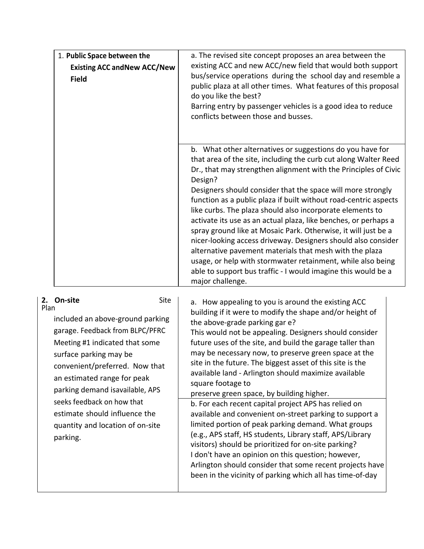| 1. Public Space between the<br><b>Existing ACC and New ACC/New</b><br><b>Field</b> | a. The revised site concept proposes an area between the<br>existing ACC and new ACC/new field that would both support<br>bus/service operations during the school day and resemble a<br>public plaza at all other times. What features of this proposal<br>do you like the best?<br>Barring entry by passenger vehicles is a good idea to reduce<br>conflicts between those and busses.                                                                                                                                                                                                                                                                                                                                                                                                                                        |
|------------------------------------------------------------------------------------|---------------------------------------------------------------------------------------------------------------------------------------------------------------------------------------------------------------------------------------------------------------------------------------------------------------------------------------------------------------------------------------------------------------------------------------------------------------------------------------------------------------------------------------------------------------------------------------------------------------------------------------------------------------------------------------------------------------------------------------------------------------------------------------------------------------------------------|
|                                                                                    | b. What other alternatives or suggestions do you have for<br>that area of the site, including the curb cut along Walter Reed<br>Dr., that may strengthen alignment with the Principles of Civic<br>Design?<br>Designers should consider that the space will more strongly<br>function as a public plaza if built without road-centric aspects<br>like curbs. The plaza should also incorporate elements to<br>activate its use as an actual plaza, like benches, or perhaps a<br>spray ground like at Mosaic Park. Otherwise, it will just be a<br>nicer-looking access driveway. Designers should also consider<br>alternative pavement materials that mesh with the plaza<br>usage, or help with stormwater retainment, while also being<br>able to support bus traffic - I would imagine this would be a<br>major challenge. |

| On-site<br><b>Site</b><br>2.<br>Plan<br>included an above-ground parking<br>garage. Feedback from BLPC/PFRC<br>Meeting #1 indicated that some<br>surface parking may be<br>convenient/preferred. Now that<br>an estimated range for peak<br>parking demand isavailable, APS<br>seeks feedback on how that<br>estimate should influence the<br>quantity and location of on-site<br>parking. | a. How appealing to you is around the existing ACC<br>building if it were to modify the shape and/or height of<br>the above-grade parking gar e?<br>This would not be appealing. Designers should consider<br>future uses of the site, and build the garage taller than<br>may be necessary now, to preserve green space at the<br>site in the future. The biggest asset of this site is the<br>available land - Arlington should maximize available<br>square footage to<br>preserve green space, by building higher.<br>b. For each recent capital project APS has relied on<br>available and convenient on-street parking to support a<br>limited portion of peak parking demand. What groups<br>(e.g., APS staff, HS students, Library staff, APS/Library<br>visitors) should be prioritized for on-site parking?<br>I don't have an opinion on this question; however,<br>Arlington should consider that some recent projects have<br>been in the vicinity of parking which all has time-of-day |
|--------------------------------------------------------------------------------------------------------------------------------------------------------------------------------------------------------------------------------------------------------------------------------------------------------------------------------------------------------------------------------------------|------------------------------------------------------------------------------------------------------------------------------------------------------------------------------------------------------------------------------------------------------------------------------------------------------------------------------------------------------------------------------------------------------------------------------------------------------------------------------------------------------------------------------------------------------------------------------------------------------------------------------------------------------------------------------------------------------------------------------------------------------------------------------------------------------------------------------------------------------------------------------------------------------------------------------------------------------------------------------------------------------|
|--------------------------------------------------------------------------------------------------------------------------------------------------------------------------------------------------------------------------------------------------------------------------------------------------------------------------------------------------------------------------------------------|------------------------------------------------------------------------------------------------------------------------------------------------------------------------------------------------------------------------------------------------------------------------------------------------------------------------------------------------------------------------------------------------------------------------------------------------------------------------------------------------------------------------------------------------------------------------------------------------------------------------------------------------------------------------------------------------------------------------------------------------------------------------------------------------------------------------------------------------------------------------------------------------------------------------------------------------------------------------------------------------------|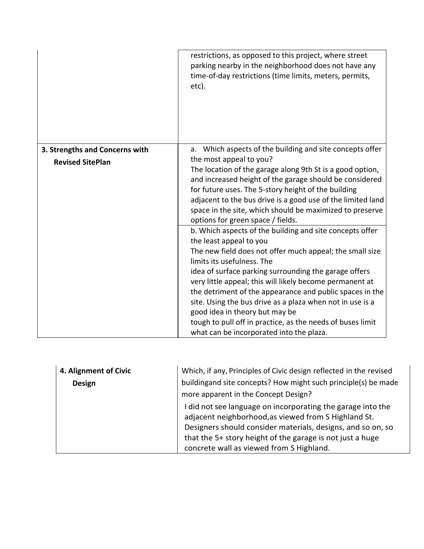|                                | restrictions, as opposed to this project, where street<br>parking nearby in the neighborhood does not have any<br>time-of-day restrictions (time limits, meters, permits,<br>etc). |
|--------------------------------|------------------------------------------------------------------------------------------------------------------------------------------------------------------------------------|
| 3. Strengths and Concerns with | a. Which aspects of the building and site concepts offer                                                                                                                           |
| <b>Revised SitePlan</b>        | the most appeal to you?                                                                                                                                                            |
|                                | The location of the garage along 9th St is a good option,                                                                                                                          |
|                                | and increased height of the garage should be considered<br>for future uses. The 5-story height of the building                                                                     |
|                                | adjacent to the bus drive is a good use of the limited land                                                                                                                        |
|                                | space in the site, which should be maximized to preserve                                                                                                                           |
|                                | options for green space / fields.                                                                                                                                                  |
|                                | b. Which aspects of the building and site concepts offer<br>the least appeal to you                                                                                                |
|                                | The new field does not offer much appeal; the small size                                                                                                                           |
|                                | limits its usefulness. The                                                                                                                                                         |
|                                | idea of surface parking surrounding the garage offers                                                                                                                              |
|                                | very little appeal; this will likely become permanent at                                                                                                                           |
|                                | the detriment of the appearance and public spaces in the<br>site. Using the bus drive as a plaza when not in use is a                                                              |
|                                | good idea in theory but may be                                                                                                                                                     |
|                                | tough to pull off in practice, as the needs of buses limit                                                                                                                         |
|                                | what can be incorporated into the plaza.                                                                                                                                           |

| 4. Alignment of Civic | Which, if any, Principles of Civic design reflected in the revised                                                  |
|-----------------------|---------------------------------------------------------------------------------------------------------------------|
| <b>Design</b>         | buildingand site concepts? How might such principle(s) be made                                                      |
|                       | more apparent in the Concept Design?                                                                                |
|                       | I did not see language on incorporating the garage into the<br>adjacent neighborhood, as viewed from S Highland St. |
|                       | Designers should consider materials, designs, and so on, so                                                         |
|                       | that the 5+ story height of the garage is not just a huge                                                           |
|                       | concrete wall as viewed from S Highland.                                                                            |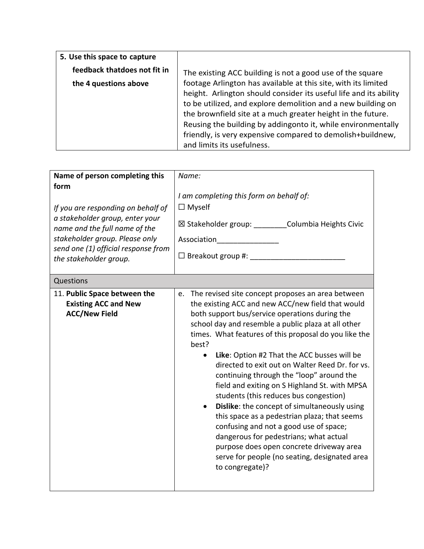| 5. Use this space to capture |                                                                                                                                                                                                                                                                                                                                                                                                                                |
|------------------------------|--------------------------------------------------------------------------------------------------------------------------------------------------------------------------------------------------------------------------------------------------------------------------------------------------------------------------------------------------------------------------------------------------------------------------------|
| feedback thatdoes not fit in | The existing ACC building is not a good use of the square                                                                                                                                                                                                                                                                                                                                                                      |
| the 4 questions above        | footage Arlington has available at this site, with its limited<br>height. Arlington should consider its useful life and its ability<br>to be utilized, and explore demolition and a new building on<br>the brownfield site at a much greater height in the future.<br>Reusing the building by addingonto it, while environmentally<br>friendly, is very expensive compared to demolish+buildnew,<br>and limits its usefulness. |

| Name of person completing this                                                                                                                                                                                    | Name:                                                                                                                                                                                                                                                                                                                                                                                                                                                                                                                                                                                                                                                                                                                                                                                                                                                          |  |
|-------------------------------------------------------------------------------------------------------------------------------------------------------------------------------------------------------------------|----------------------------------------------------------------------------------------------------------------------------------------------------------------------------------------------------------------------------------------------------------------------------------------------------------------------------------------------------------------------------------------------------------------------------------------------------------------------------------------------------------------------------------------------------------------------------------------------------------------------------------------------------------------------------------------------------------------------------------------------------------------------------------------------------------------------------------------------------------------|--|
| form<br>If you are responding on behalf of<br>a stakeholder group, enter your<br>name and the full name of the<br>stakeholder group. Please only<br>send one (1) official response from<br>the stakeholder group. | I am completing this form on behalf of:<br>$\Box$ Myself<br>⊠ Stakeholder group: Columbia Heights Civic<br>Association<br>$\Box$ Breakout group #:                                                                                                                                                                                                                                                                                                                                                                                                                                                                                                                                                                                                                                                                                                             |  |
| Questions                                                                                                                                                                                                         |                                                                                                                                                                                                                                                                                                                                                                                                                                                                                                                                                                                                                                                                                                                                                                                                                                                                |  |
| 11. Public Space between the<br><b>Existing ACC and New</b><br><b>ACC/New Field</b>                                                                                                                               | The revised site concept proposes an area between<br>e.<br>the existing ACC and new ACC/new field that would<br>both support bus/service operations during the<br>school day and resemble a public plaza at all other<br>times. What features of this proposal do you like the<br>best?<br>Like: Option #2 That the ACC busses will be<br>$\bullet$<br>directed to exit out on Walter Reed Dr. for vs.<br>continuing through the "loop" around the<br>field and exiting on S Highland St. with MPSA<br>students (this reduces bus congestion)<br>Dislike: the concept of simultaneously using<br>$\bullet$<br>this space as a pedestrian plaza; that seems<br>confusing and not a good use of space;<br>dangerous for pedestrians; what actual<br>purpose does open concrete driveway area<br>serve for people (no seating, designated area<br>to congregate)? |  |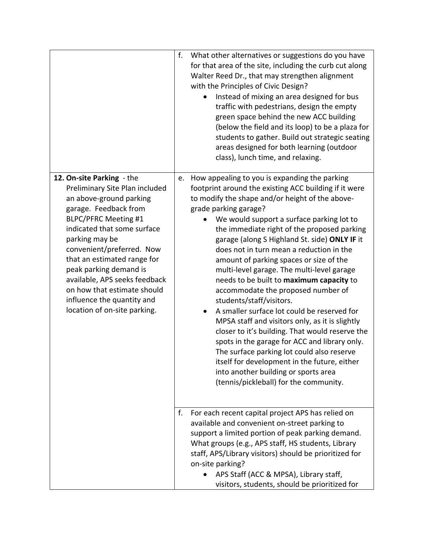|                                                                                                                                                                                                                                                                                                                                                                                                                     | f. | What other alternatives or suggestions do you have<br>for that area of the site, including the curb cut along<br>Walter Reed Dr., that may strengthen alignment<br>with the Principles of Civic Design?<br>Instead of mixing an area designed for bus<br>traffic with pedestrians, design the empty<br>green space behind the new ACC building<br>(below the field and its loop) to be a plaza for<br>students to gather. Build out strategic seating<br>areas designed for both learning (outdoor<br>class), lunch time, and relaxing.                                                                                                                                                                                                                                                                                                                                                                                                                                  |
|---------------------------------------------------------------------------------------------------------------------------------------------------------------------------------------------------------------------------------------------------------------------------------------------------------------------------------------------------------------------------------------------------------------------|----|--------------------------------------------------------------------------------------------------------------------------------------------------------------------------------------------------------------------------------------------------------------------------------------------------------------------------------------------------------------------------------------------------------------------------------------------------------------------------------------------------------------------------------------------------------------------------------------------------------------------------------------------------------------------------------------------------------------------------------------------------------------------------------------------------------------------------------------------------------------------------------------------------------------------------------------------------------------------------|
| 12. On-site Parking - the<br>Preliminary Site Plan included<br>an above-ground parking<br>garage. Feedback from<br><b>BLPC/PFRC Meeting #1</b><br>indicated that some surface<br>parking may be<br>convenient/preferred. Now<br>that an estimated range for<br>peak parking demand is<br>available, APS seeks feedback<br>on how that estimate should<br>influence the quantity and<br>location of on-site parking. | e. | How appealing to you is expanding the parking<br>footprint around the existing ACC building if it were<br>to modify the shape and/or height of the above-<br>grade parking garage?<br>We would support a surface parking lot to<br>the immediate right of the proposed parking<br>garage (along S Highland St. side) ONLY IF it<br>does not in turn mean a reduction in the<br>amount of parking spaces or size of the<br>multi-level garage. The multi-level garage<br>needs to be built to maximum capacity to<br>accommodate the proposed number of<br>students/staff/visitors.<br>A smaller surface lot could be reserved for<br>MPSA staff and visitors only, as it is slightly<br>closer to it's building. That would reserve the<br>spots in the garage for ACC and library only.<br>The surface parking lot could also reserve<br>itself for development in the future, either<br>into another building or sports area<br>(tennis/pickleball) for the community. |
|                                                                                                                                                                                                                                                                                                                                                                                                                     | f. | For each recent capital project APS has relied on<br>available and convenient on-street parking to<br>support a limited portion of peak parking demand.<br>What groups (e.g., APS staff, HS students, Library<br>staff, APS/Library visitors) should be prioritized for<br>on-site parking?<br>APS Staff (ACC & MPSA), Library staff,<br>visitors, students, should be prioritized for                                                                                                                                                                                                                                                                                                                                                                                                                                                                                                                                                                                   |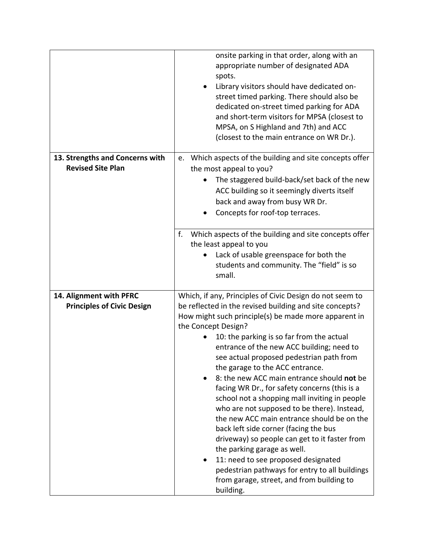|                                                              | onsite parking in that order, along with an<br>appropriate number of designated ADA<br>spots.<br>Library visitors should have dedicated on-<br>street timed parking. There should also be<br>dedicated on-street timed parking for ADA<br>and short-term visitors for MPSA (closest to<br>MPSA, on S Highland and 7th) and ACC<br>(closest to the main entrance on WR Dr.).                                                                                                                                                                                                                                                                                                                                                                                                                                                                                                                          |
|--------------------------------------------------------------|------------------------------------------------------------------------------------------------------------------------------------------------------------------------------------------------------------------------------------------------------------------------------------------------------------------------------------------------------------------------------------------------------------------------------------------------------------------------------------------------------------------------------------------------------------------------------------------------------------------------------------------------------------------------------------------------------------------------------------------------------------------------------------------------------------------------------------------------------------------------------------------------------|
| 13. Strengths and Concerns with                              | e. Which aspects of the building and site concepts offer                                                                                                                                                                                                                                                                                                                                                                                                                                                                                                                                                                                                                                                                                                                                                                                                                                             |
| <b>Revised Site Plan</b>                                     | the most appeal to you?                                                                                                                                                                                                                                                                                                                                                                                                                                                                                                                                                                                                                                                                                                                                                                                                                                                                              |
|                                                              | The staggered build-back/set back of the new<br>ACC building so it seemingly diverts itself<br>back and away from busy WR Dr.<br>Concepts for roof-top terraces.                                                                                                                                                                                                                                                                                                                                                                                                                                                                                                                                                                                                                                                                                                                                     |
|                                                              | f.<br>Which aspects of the building and site concepts offer                                                                                                                                                                                                                                                                                                                                                                                                                                                                                                                                                                                                                                                                                                                                                                                                                                          |
|                                                              | the least appeal to you                                                                                                                                                                                                                                                                                                                                                                                                                                                                                                                                                                                                                                                                                                                                                                                                                                                                              |
|                                                              | Lack of usable greenspace for both the<br>students and community. The "field" is so<br>small.                                                                                                                                                                                                                                                                                                                                                                                                                                                                                                                                                                                                                                                                                                                                                                                                        |
| 14. Alignment with PFRC<br><b>Principles of Civic Design</b> | Which, if any, Principles of Civic Design do not seem to<br>be reflected in the revised building and site concepts?<br>How might such principle(s) be made more apparent in<br>the Concept Design?<br>10: the parking is so far from the actual<br>entrance of the new ACC building; need to<br>see actual proposed pedestrian path from<br>the garage to the ACC entrance.<br>8: the new ACC main entrance should not be<br>facing WR Dr., for safety concerns (this is a<br>school not a shopping mall inviting in people<br>who are not supposed to be there). Instead,<br>the new ACC main entrance should be on the<br>back left side corner (facing the bus<br>driveway) so people can get to it faster from<br>the parking garage as well.<br>11: need to see proposed designated<br>pedestrian pathways for entry to all buildings<br>from garage, street, and from building to<br>building. |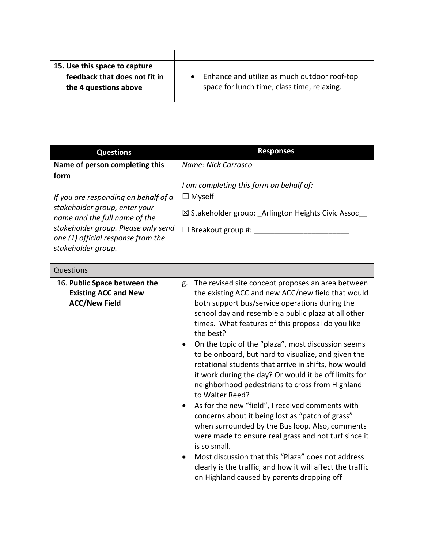| 15. Use this space to capture |                                              |
|-------------------------------|----------------------------------------------|
| feedback that does not fit in | Enhance and utilize as much outdoor roof-top |
| the 4 questions above         | space for lunch time, class time, relaxing.  |
|                               |                                              |

| <b>Questions</b>                                                                                                                                                                                                                                    | <b>Responses</b>                                                                                                                                                                                                                                                                                                                                                                                                                                                                                                                                                                                                                                                                                                                                                                                                                                                                                                                                                                                                           |
|-----------------------------------------------------------------------------------------------------------------------------------------------------------------------------------------------------------------------------------------------------|----------------------------------------------------------------------------------------------------------------------------------------------------------------------------------------------------------------------------------------------------------------------------------------------------------------------------------------------------------------------------------------------------------------------------------------------------------------------------------------------------------------------------------------------------------------------------------------------------------------------------------------------------------------------------------------------------------------------------------------------------------------------------------------------------------------------------------------------------------------------------------------------------------------------------------------------------------------------------------------------------------------------------|
| Name of person completing this<br>form<br>If you are responding on behalf of a<br>stakeholder group, enter your<br>name and the full name of the<br>stakeholder group. Please only send<br>one (1) official response from the<br>stakeholder group. | Name: Nick Carrasco<br>I am completing this form on behalf of:<br>$\Box$ Myself<br>⊠ Stakeholder group: Arlington Heights Civic Assoc<br>$\Box$ Breakout group #: $\Box$                                                                                                                                                                                                                                                                                                                                                                                                                                                                                                                                                                                                                                                                                                                                                                                                                                                   |
| Questions                                                                                                                                                                                                                                           |                                                                                                                                                                                                                                                                                                                                                                                                                                                                                                                                                                                                                                                                                                                                                                                                                                                                                                                                                                                                                            |
| 16. Public Space between the<br><b>Existing ACC and New</b><br><b>ACC/New Field</b>                                                                                                                                                                 | The revised site concept proposes an area between<br>g.<br>the existing ACC and new ACC/new field that would<br>both support bus/service operations during the<br>school day and resemble a public plaza at all other<br>times. What features of this proposal do you like<br>the best?<br>On the topic of the "plaza", most discussion seems<br>$\bullet$<br>to be onboard, but hard to visualize, and given the<br>rotational students that arrive in shifts, how would<br>it work during the day? Or would it be off limits for<br>neighborhood pedestrians to cross from Highland<br>to Walter Reed?<br>As for the new "field", I received comments with<br>$\bullet$<br>concerns about it being lost as "patch of grass"<br>when surrounded by the Bus loop. Also, comments<br>were made to ensure real grass and not turf since it<br>is so small.<br>Most discussion that this "Plaza" does not address<br>clearly is the traffic, and how it will affect the traffic<br>on Highland caused by parents dropping off |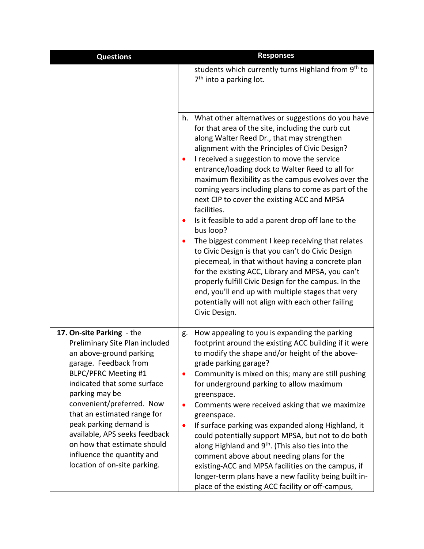| <b>Questions</b>                                                                                                                                                                                                                                                                                                                                                                                                    | <b>Responses</b>                                                                                                                                                                                                                                                                                                                                                                                                                                                                                                                                                                                                                                                                                                                                                                                                                                                                                                                                                    |
|---------------------------------------------------------------------------------------------------------------------------------------------------------------------------------------------------------------------------------------------------------------------------------------------------------------------------------------------------------------------------------------------------------------------|---------------------------------------------------------------------------------------------------------------------------------------------------------------------------------------------------------------------------------------------------------------------------------------------------------------------------------------------------------------------------------------------------------------------------------------------------------------------------------------------------------------------------------------------------------------------------------------------------------------------------------------------------------------------------------------------------------------------------------------------------------------------------------------------------------------------------------------------------------------------------------------------------------------------------------------------------------------------|
|                                                                                                                                                                                                                                                                                                                                                                                                                     | students which currently turns Highland from 9 <sup>th</sup> to<br>$7th$ into a parking lot.                                                                                                                                                                                                                                                                                                                                                                                                                                                                                                                                                                                                                                                                                                                                                                                                                                                                        |
|                                                                                                                                                                                                                                                                                                                                                                                                                     | h. What other alternatives or suggestions do you have<br>for that area of the site, including the curb cut<br>along Walter Reed Dr., that may strengthen<br>alignment with the Principles of Civic Design?<br>I received a suggestion to move the service<br>entrance/loading dock to Walter Reed to all for<br>maximum flexibility as the campus evolves over the<br>coming years including plans to come as part of the<br>next CIP to cover the existing ACC and MPSA<br>facilities.<br>Is it feasible to add a parent drop off lane to the<br>bus loop?<br>The biggest comment I keep receiving that relates<br>to Civic Design is that you can't do Civic Design<br>piecemeal, in that without having a concrete plan<br>for the existing ACC, Library and MPSA, you can't<br>properly fulfill Civic Design for the campus. In the<br>end, you'll end up with multiple stages that very<br>potentially will not align with each other failing<br>Civic Design. |
| 17. On-site Parking - the<br>Preliminary Site Plan included<br>an above-ground parking<br>garage. Feedback from<br><b>BLPC/PFRC Meeting #1</b><br>indicated that some surface<br>parking may be<br>convenient/preferred. Now<br>that an estimated range for<br>peak parking demand is<br>available, APS seeks feedback<br>on how that estimate should<br>influence the quantity and<br>location of on-site parking. | How appealing to you is expanding the parking<br>g.<br>footprint around the existing ACC building if it were<br>to modify the shape and/or height of the above-<br>grade parking garage?<br>Community is mixed on this; many are still pushing<br>for underground parking to allow maximum<br>greenspace.<br>Comments were received asking that we maximize<br>greenspace.<br>If surface parking was expanded along Highland, it<br>could potentially support MPSA, but not to do both<br>along Highland and 9 <sup>th</sup> . (This also ties into the<br>comment above about needing plans for the<br>existing-ACC and MPSA facilities on the campus, if<br>longer-term plans have a new facility being built in-<br>place of the existing ACC facility or off-campus,                                                                                                                                                                                            |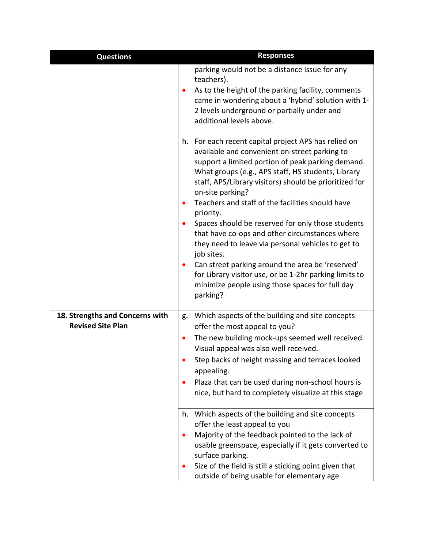| <b>Questions</b>                | <b>Responses</b>                                                                                                                                                                                                                                                                                                                                                |
|---------------------------------|-----------------------------------------------------------------------------------------------------------------------------------------------------------------------------------------------------------------------------------------------------------------------------------------------------------------------------------------------------------------|
|                                 | parking would not be a distance issue for any<br>teachers).<br>As to the height of the parking facility, comments<br>came in wondering about a 'hybrid' solution with 1-<br>2 levels underground or partially under and<br>additional levels above.                                                                                                             |
|                                 | h. For each recent capital project APS has relied on<br>available and convenient on-street parking to<br>support a limited portion of peak parking demand.<br>What groups (e.g., APS staff, HS students, Library<br>staff, APS/Library visitors) should be prioritized for<br>on-site parking?<br>Teachers and staff of the facilities should have<br>priority. |
|                                 | Spaces should be reserved for only those students<br>that have co-ops and other circumstances where<br>they need to leave via personal vehicles to get to<br>job sites.                                                                                                                                                                                         |
|                                 | Can street parking around the area be 'reserved'<br>for Library visitor use, or be 1-2hr parking limits to<br>minimize people using those spaces for full day<br>parking?                                                                                                                                                                                       |
| 18. Strengths and Concerns with | g. Which aspects of the building and site concepts                                                                                                                                                                                                                                                                                                              |
| <b>Revised Site Plan</b>        | offer the most appeal to you?                                                                                                                                                                                                                                                                                                                                   |
|                                 | The new building mock-ups seemed well received.<br>$\bullet$<br>Visual appeal was also well received.                                                                                                                                                                                                                                                           |
|                                 | Step backs of height massing and terraces looked<br>appealing.                                                                                                                                                                                                                                                                                                  |
|                                 | Plaza that can be used during non-school hours is<br>nice, but hard to completely visualize at this stage                                                                                                                                                                                                                                                       |
|                                 | h. Which aspects of the building and site concepts                                                                                                                                                                                                                                                                                                              |
|                                 | offer the least appeal to you<br>Majority of the feedback pointed to the lack of                                                                                                                                                                                                                                                                                |
|                                 | usable greenspace, especially if it gets converted to<br>surface parking.                                                                                                                                                                                                                                                                                       |
|                                 | Size of the field is still a sticking point given that<br>outside of being usable for elementary age                                                                                                                                                                                                                                                            |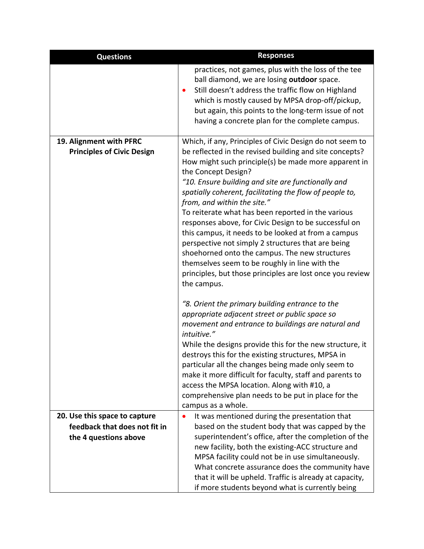| <b>Questions</b>                  | <b>Responses</b>                                                                                                                                                                                                                                                                                                                                                                                                                                                                                                                                                                                                                                                                                   |
|-----------------------------------|----------------------------------------------------------------------------------------------------------------------------------------------------------------------------------------------------------------------------------------------------------------------------------------------------------------------------------------------------------------------------------------------------------------------------------------------------------------------------------------------------------------------------------------------------------------------------------------------------------------------------------------------------------------------------------------------------|
|                                   | practices, not games, plus with the loss of the tee<br>ball diamond, we are losing outdoor space.<br>Still doesn't address the traffic flow on Highland<br>which is mostly caused by MPSA drop-off/pickup,<br>but again, this points to the long-term issue of not<br>having a concrete plan for the complete campus.                                                                                                                                                                                                                                                                                                                                                                              |
| 19. Alignment with PFRC           | Which, if any, Principles of Civic Design do not seem to                                                                                                                                                                                                                                                                                                                                                                                                                                                                                                                                                                                                                                           |
| <b>Principles of Civic Design</b> | be reflected in the revised building and site concepts?<br>How might such principle(s) be made more apparent in<br>the Concept Design?<br>"10. Ensure building and site are functionally and<br>spatially coherent, facilitating the flow of people to,<br>from, and within the site."<br>To reiterate what has been reported in the various<br>responses above, for Civic Design to be successful on<br>this campus, it needs to be looked at from a campus<br>perspective not simply 2 structures that are being<br>shoehorned onto the campus. The new structures<br>themselves seem to be roughly in line with the<br>principles, but those principles are lost once you review<br>the campus. |
|                                   | "8. Orient the primary building entrance to the<br>appropriate adjacent street or public space so<br>movement and entrance to buildings are natural and                                                                                                                                                                                                                                                                                                                                                                                                                                                                                                                                            |
|                                   | intuitive."                                                                                                                                                                                                                                                                                                                                                                                                                                                                                                                                                                                                                                                                                        |
|                                   | While the designs provide this for the new structure, it<br>destroys this for the existing structures, MPSA in                                                                                                                                                                                                                                                                                                                                                                                                                                                                                                                                                                                     |
|                                   | particular all the changes being made only seem to<br>make it more difficult for faculty, staff and parents to<br>access the MPSA location. Along with #10, a<br>comprehensive plan needs to be put in place for the<br>campus as a whole.                                                                                                                                                                                                                                                                                                                                                                                                                                                         |
| 20. Use this space to capture     | It was mentioned during the presentation that                                                                                                                                                                                                                                                                                                                                                                                                                                                                                                                                                                                                                                                      |
| feedback that does not fit in     | based on the student body that was capped by the                                                                                                                                                                                                                                                                                                                                                                                                                                                                                                                                                                                                                                                   |
| the 4 questions above             | superintendent's office, after the completion of the<br>new facility, both the existing-ACC structure and                                                                                                                                                                                                                                                                                                                                                                                                                                                                                                                                                                                          |
|                                   | MPSA facility could not be in use simultaneously.                                                                                                                                                                                                                                                                                                                                                                                                                                                                                                                                                                                                                                                  |
|                                   | What concrete assurance does the community have                                                                                                                                                                                                                                                                                                                                                                                                                                                                                                                                                                                                                                                    |
|                                   | that it will be upheld. Traffic is already at capacity,                                                                                                                                                                                                                                                                                                                                                                                                                                                                                                                                                                                                                                            |
|                                   | if more students beyond what is currently being                                                                                                                                                                                                                                                                                                                                                                                                                                                                                                                                                                                                                                                    |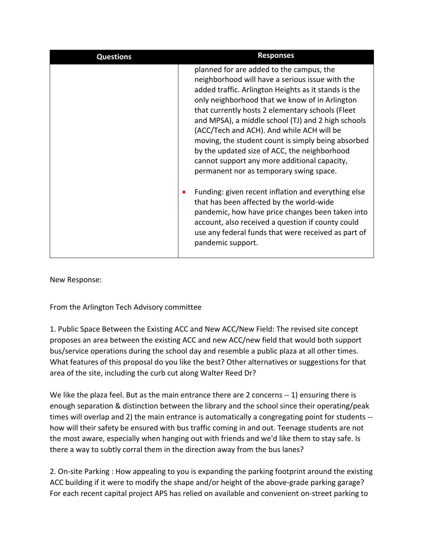| <b>Questions</b> | <b>Responses</b>                                                                                                                                                                                                                                                                                                                                                                                                                                                                                                                                              |
|------------------|---------------------------------------------------------------------------------------------------------------------------------------------------------------------------------------------------------------------------------------------------------------------------------------------------------------------------------------------------------------------------------------------------------------------------------------------------------------------------------------------------------------------------------------------------------------|
|                  | planned for are added to the campus, the<br>neighborhood will have a serious issue with the<br>added traffic. Arlington Heights as it stands is the<br>only neighborhood that we know of in Arlington<br>that currently hosts 2 elementary schools (Fleet<br>and MPSA), a middle school (TJ) and 2 high schools<br>(ACC/Tech and ACH). And while ACH will be<br>moving, the student count is simply being absorbed<br>by the updated size of ACC, the neighborhood<br>cannot support any more additional capacity,<br>permanent nor as temporary swing space. |
|                  | Funding: given recent inflation and everything else<br>that has been affected by the world-wide<br>pandemic, how have price changes been taken into<br>account, also received a question if county could<br>use any federal funds that were received as part of<br>pandemic support.                                                                                                                                                                                                                                                                          |

New Response:

From the Arlington Tech Advisory committee

1. Public Space Between the Existing ACC and New ACC/New Field: The revised site concept proposes an area between the existing ACC and new ACC/new field that would both support bus/service operations during the school day and resemble a public plaza at all other times. What features of this proposal do you like the best? Other alternatives or suggestions for that area of the site, including the curb cut along Walter Reed Dr?

We like the plaza feel. But as the main entrance there are 2 concerns -- 1) ensuring there is enough separation & distinction between the library and the school since their operating/peak times will overlap and 2) the main entrance is automatically a congregating point for students - how will their safety be ensured with bus traffic coming in and out. Teenage students are not the most aware, especially when hanging out with friends and we'd like them to stay safe. Is there a way to subtly corral them in the direction away from the bus lanes?

2. On-site Parking : How appealing to you is expanding the parking footprint around the existing ACC building if it were to modify the shape and/or height of the above-grade parking garage? For each recent capital project APS has relied on available and convenient on-street parking to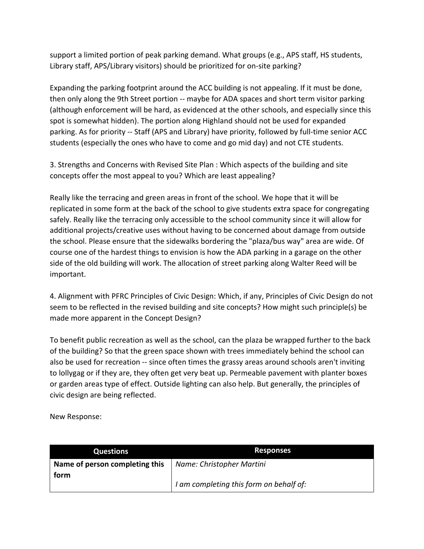support a limited portion of peak parking demand. What groups (e.g., APS staff, HS students, Library staff, APS/Library visitors) should be prioritized for on-site parking?

Expanding the parking footprint around the ACC building is not appealing. If it must be done, then only along the 9th Street portion -- maybe for ADA spaces and short term visitor parking (although enforcement will be hard, as evidenced at the other schools, and especially since this spot is somewhat hidden). The portion along Highland should not be used for expanded parking. As for priority -- Staff (APS and Library) have priority, followed by full-time senior ACC students (especially the ones who have to come and go mid day) and not CTE students.

3. Strengths and Concerns with Revised Site Plan : Which aspects of the building and site concepts offer the most appeal to you? Which are least appealing?

Really like the terracing and green areas in front of the school. We hope that it will be replicated in some form at the back of the school to give students extra space for congregating safely. Really like the terracing only accessible to the school community since it will allow for additional projects/creative uses without having to be concerned about damage from outside the school. Please ensure that the sidewalks bordering the "plaza/bus way" area are wide. Of course one of the hardest things to envision is how the ADA parking in a garage on the other side of the old building will work. The allocation of street parking along Walter Reed will be important.

4. Alignment with PFRC Principles of Civic Design: Which, if any, Principles of Civic Design do not seem to be reflected in the revised building and site concepts? How might such principle(s) be made more apparent in the Concept Design?

To benefit public recreation as well as the school, can the plaza be wrapped further to the back of the building? So that the green space shown with trees immediately behind the school can also be used for recreation -- since often times the grassy areas around schools aren't inviting to lollygag or if they are, they often get very beat up. Permeable pavement with planter boxes or garden areas type of effect. Outside lighting can also help. But generally, the principles of civic design are being reflected.

New Response:

| Questions                              | <b>Responses</b>                        |
|----------------------------------------|-----------------------------------------|
| Name of person completing this<br>form | Name: Christopher Martini               |
|                                        | I am completing this form on behalf of: |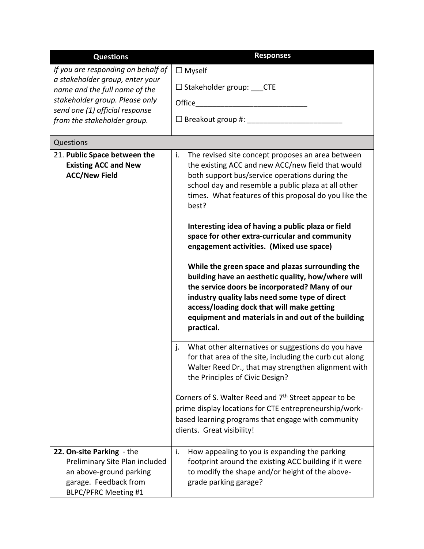| <b>Questions</b>                                                                                                                               | <b>Responses</b>                                                                                                                                                                                                                                                                                                             |
|------------------------------------------------------------------------------------------------------------------------------------------------|------------------------------------------------------------------------------------------------------------------------------------------------------------------------------------------------------------------------------------------------------------------------------------------------------------------------------|
| If you are responding on behalf of                                                                                                             | $\Box$ Myself                                                                                                                                                                                                                                                                                                                |
| a stakeholder group, enter your<br>name and the full name of the                                                                               | $\Box$ Stakeholder group: CTE                                                                                                                                                                                                                                                                                                |
| stakeholder group. Please only                                                                                                                 | Office                                                                                                                                                                                                                                                                                                                       |
| send one (1) official response<br>from the stakeholder group.                                                                                  | $\square$ Breakout group #: $\_{$                                                                                                                                                                                                                                                                                            |
| Questions                                                                                                                                      |                                                                                                                                                                                                                                                                                                                              |
| 21. Public Space between the                                                                                                                   | The revised site concept proposes an area between<br>i.                                                                                                                                                                                                                                                                      |
| <b>Existing ACC and New</b><br><b>ACC/New Field</b>                                                                                            | the existing ACC and new ACC/new field that would<br>both support bus/service operations during the<br>school day and resemble a public plaza at all other<br>times. What features of this proposal do you like the<br>best?                                                                                                 |
|                                                                                                                                                | Interesting idea of having a public plaza or field<br>space for other extra-curricular and community<br>engagement activities. (Mixed use space)                                                                                                                                                                             |
|                                                                                                                                                | While the green space and plazas surrounding the<br>building have an aesthetic quality, how/where will<br>the service doors be incorporated? Many of our<br>industry quality labs need some type of direct<br>access/loading dock that will make getting<br>equipment and materials in and out of the building<br>practical. |
|                                                                                                                                                | What other alternatives or suggestions do you have<br>j.<br>for that area of the site, including the curb cut along<br>Walter Reed Dr., that may strengthen alignment with<br>the Principles of Civic Design?                                                                                                                |
|                                                                                                                                                | Corners of S. Walter Reed and 7 <sup>th</sup> Street appear to be<br>prime display locations for CTE entrepreneurship/work-<br>based learning programs that engage with community<br>clients. Great visibility!                                                                                                              |
| 22. On-site Parking - the<br>Preliminary Site Plan included<br>an above-ground parking<br>garage. Feedback from<br><b>BLPC/PFRC Meeting #1</b> | i.<br>How appealing to you is expanding the parking<br>footprint around the existing ACC building if it were<br>to modify the shape and/or height of the above-<br>grade parking garage?                                                                                                                                     |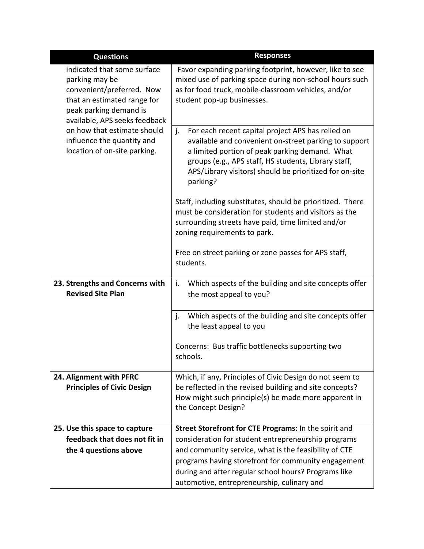| <b>Questions</b>                                                                                                                                                                                                                                                  | <b>Responses</b>                                                                                                                                                                                                                                                                                  |
|-------------------------------------------------------------------------------------------------------------------------------------------------------------------------------------------------------------------------------------------------------------------|---------------------------------------------------------------------------------------------------------------------------------------------------------------------------------------------------------------------------------------------------------------------------------------------------|
| indicated that some surface<br>parking may be<br>convenient/preferred. Now<br>that an estimated range for<br>peak parking demand is<br>available, APS seeks feedback<br>on how that estimate should<br>influence the quantity and<br>location of on-site parking. | Favor expanding parking footprint, however, like to see<br>mixed use of parking space during non-school hours such<br>as for food truck, mobile-classroom vehicles, and/or<br>student pop-up businesses.                                                                                          |
|                                                                                                                                                                                                                                                                   | For each recent capital project APS has relied on<br>j.<br>available and convenient on-street parking to support<br>a limited portion of peak parking demand. What<br>groups (e.g., APS staff, HS students, Library staff,<br>APS/Library visitors) should be prioritized for on-site<br>parking? |
|                                                                                                                                                                                                                                                                   | Staff, including substitutes, should be prioritized. There<br>must be consideration for students and visitors as the<br>surrounding streets have paid, time limited and/or<br>zoning requirements to park.                                                                                        |
|                                                                                                                                                                                                                                                                   | Free on street parking or zone passes for APS staff,<br>students.                                                                                                                                                                                                                                 |
| 23. Strengths and Concerns with<br><b>Revised Site Plan</b>                                                                                                                                                                                                       | Which aspects of the building and site concepts offer<br>i.<br>the most appeal to you?                                                                                                                                                                                                            |
|                                                                                                                                                                                                                                                                   | Which aspects of the building and site concepts offer<br>j.<br>the least appeal to you                                                                                                                                                                                                            |
|                                                                                                                                                                                                                                                                   | Concerns: Bus traffic bottlenecks supporting two<br>schools.                                                                                                                                                                                                                                      |
| 24. Alignment with PFRC                                                                                                                                                                                                                                           | Which, if any, Principles of Civic Design do not seem to                                                                                                                                                                                                                                          |
| <b>Principles of Civic Design</b>                                                                                                                                                                                                                                 | be reflected in the revised building and site concepts?<br>How might such principle(s) be made more apparent in<br>the Concept Design?                                                                                                                                                            |
| 25. Use this space to capture                                                                                                                                                                                                                                     | Street Storefront for CTE Programs: In the spirit and                                                                                                                                                                                                                                             |
| feedback that does not fit in                                                                                                                                                                                                                                     | consideration for student entrepreneurship programs                                                                                                                                                                                                                                               |
| the 4 questions above                                                                                                                                                                                                                                             | and community service, what is the feasibility of CTE                                                                                                                                                                                                                                             |
|                                                                                                                                                                                                                                                                   | programs having storefront for community engagement                                                                                                                                                                                                                                               |
|                                                                                                                                                                                                                                                                   | during and after regular school hours? Programs like<br>automotive, entrepreneurship, culinary and                                                                                                                                                                                                |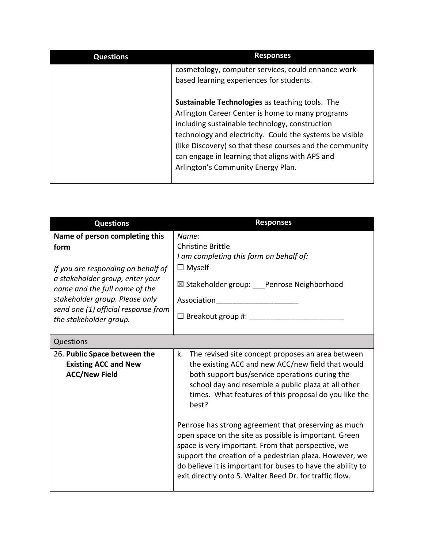| <b>Questions</b> | <b>Responses</b>                                                                                                                                                                                                                                                                                                                                                              |
|------------------|-------------------------------------------------------------------------------------------------------------------------------------------------------------------------------------------------------------------------------------------------------------------------------------------------------------------------------------------------------------------------------|
|                  | cosmetology, computer services, could enhance work-<br>based learning experiences for students.                                                                                                                                                                                                                                                                               |
|                  | <b>Sustainable Technologies as teaching tools. The</b><br>Arlington Career Center is home to many programs<br>including sustainable technology, construction<br>technology and electricity. Could the systems be visible<br>(like Discovery) so that these courses and the community<br>can engage in learning that aligns with APS and<br>Arlington's Community Energy Plan. |

| <b>Questions</b>                                                                                                                                                                                                                                    | <b>Responses</b>                                                                                                                                                                                                                                                                                                                                          |
|-----------------------------------------------------------------------------------------------------------------------------------------------------------------------------------------------------------------------------------------------------|-----------------------------------------------------------------------------------------------------------------------------------------------------------------------------------------------------------------------------------------------------------------------------------------------------------------------------------------------------------|
| Name of person completing this<br>form<br>If you are responding on behalf of<br>a stakeholder group, enter your<br>name and the full name of the<br>stakeholder group. Please only<br>send one (1) official response from<br>the stakeholder group. | Name:<br><b>Christine Brittle</b><br>I am completing this form on behalf of:<br>$\Box$ Myself<br>⊠ Stakeholder group: ___Penrose Neighborhood<br>Association                                                                                                                                                                                              |
| Questions                                                                                                                                                                                                                                           |                                                                                                                                                                                                                                                                                                                                                           |
| 26. Public Space between the<br><b>Existing ACC and New</b><br><b>ACC/New Field</b>                                                                                                                                                                 | The revised site concept proposes an area between<br>k.<br>the existing ACC and new ACC/new field that would<br>both support bus/service operations during the<br>school day and resemble a public plaza at all other<br>times. What features of this proposal do you like the<br>best?                                                                   |
|                                                                                                                                                                                                                                                     | Penrose has strong agreement that preserving as much<br>open space on the site as possible is important. Green<br>space is very important. From that perspective, we<br>support the creation of a pedestrian plaza. However, we<br>do believe it is important for buses to have the ability to<br>exit directly onto S. Walter Reed Dr. for traffic flow. |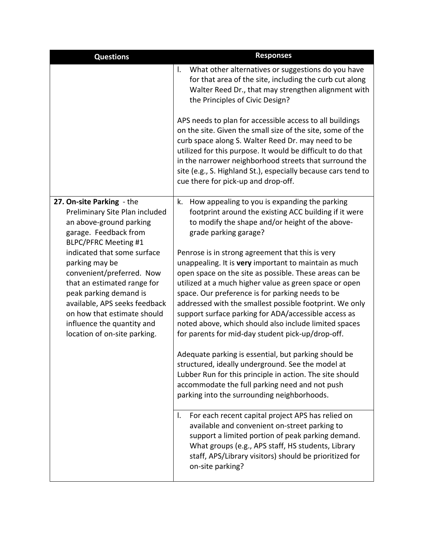| <b>Questions</b>                                                                                                                                                                                                                                                  | <b>Responses</b>                                                                                                                                                                                                                                                                                                                                                                                                                                                                                                   |
|-------------------------------------------------------------------------------------------------------------------------------------------------------------------------------------------------------------------------------------------------------------------|--------------------------------------------------------------------------------------------------------------------------------------------------------------------------------------------------------------------------------------------------------------------------------------------------------------------------------------------------------------------------------------------------------------------------------------------------------------------------------------------------------------------|
|                                                                                                                                                                                                                                                                   | What other alternatives or suggestions do you have<br>I.<br>for that area of the site, including the curb cut along<br>Walter Reed Dr., that may strengthen alignment with<br>the Principles of Civic Design?                                                                                                                                                                                                                                                                                                      |
|                                                                                                                                                                                                                                                                   | APS needs to plan for accessible access to all buildings<br>on the site. Given the small size of the site, some of the<br>curb space along S. Walter Reed Dr. may need to be<br>utilized for this purpose. It would be difficult to do that<br>in the narrower neighborhood streets that surround the<br>site (e.g., S. Highland St.), especially because cars tend to<br>cue there for pick-up and drop-off.                                                                                                      |
| 27. On-site Parking - the<br>Preliminary Site Plan included<br>an above-ground parking<br>garage. Feedback from<br><b>BLPC/PFRC Meeting #1</b>                                                                                                                    | How appealing to you is expanding the parking<br>k.<br>footprint around the existing ACC building if it were<br>to modify the shape and/or height of the above-<br>grade parking garage?                                                                                                                                                                                                                                                                                                                           |
| indicated that some surface<br>parking may be<br>convenient/preferred. Now<br>that an estimated range for<br>peak parking demand is<br>available, APS seeks feedback<br>on how that estimate should<br>influence the quantity and<br>location of on-site parking. | Penrose is in strong agreement that this is very<br>unappealing. It is very important to maintain as much<br>open space on the site as possible. These areas can be<br>utilized at a much higher value as green space or open<br>space. Our preference is for parking needs to be<br>addressed with the smallest possible footprint. We only<br>support surface parking for ADA/accessible access as<br>noted above, which should also include limited spaces<br>for parents for mid-day student pick-up/drop-off. |
|                                                                                                                                                                                                                                                                   | Adequate parking is essential, but parking should be<br>structured, ideally underground. See the model at<br>Lubber Run for this principle in action. The site should<br>accommodate the full parking need and not push<br>parking into the surrounding neighborhoods.                                                                                                                                                                                                                                             |
|                                                                                                                                                                                                                                                                   | For each recent capital project APS has relied on<br>I.<br>available and convenient on-street parking to<br>support a limited portion of peak parking demand.<br>What groups (e.g., APS staff, HS students, Library<br>staff, APS/Library visitors) should be prioritized for<br>on-site parking?                                                                                                                                                                                                                  |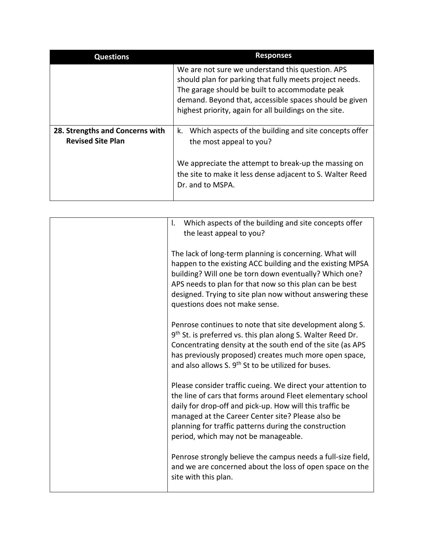| <b>Questions</b>                                            | <b>Responses</b>                                                                                                                                                                                                                                                                  |
|-------------------------------------------------------------|-----------------------------------------------------------------------------------------------------------------------------------------------------------------------------------------------------------------------------------------------------------------------------------|
|                                                             | We are not sure we understand this question. APS<br>should plan for parking that fully meets project needs.<br>The garage should be built to accommodate peak<br>demand. Beyond that, accessible spaces should be given<br>highest priority, again for all buildings on the site. |
| 28. Strengths and Concerns with<br><b>Revised Site Plan</b> | Which aspects of the building and site concepts offer<br>k.<br>the most appeal to you?                                                                                                                                                                                            |
|                                                             | We appreciate the attempt to break-up the massing on<br>the site to make it less dense adjacent to S. Walter Reed<br>Dr. and to MSPA.                                                                                                                                             |

| Which aspects of the building and site concepts offer<br>I.<br>the least appeal to you?                                                                                                                                                                                                                                                     |
|---------------------------------------------------------------------------------------------------------------------------------------------------------------------------------------------------------------------------------------------------------------------------------------------------------------------------------------------|
| The lack of long-term planning is concerning. What will<br>happen to the existing ACC building and the existing MPSA<br>building? Will one be torn down eventually? Which one?<br>APS needs to plan for that now so this plan can be best<br>designed. Trying to site plan now without answering these<br>questions does not make sense.    |
| Penrose continues to note that site development along S.<br>9th St. is preferred vs. this plan along S. Walter Reed Dr.<br>Concentrating density at the south end of the site (as APS<br>has previously proposed) creates much more open space,<br>and also allows S. 9 <sup>th</sup> St to be utilized for buses.                          |
| Please consider traffic cueing. We direct your attention to<br>the line of cars that forms around Fleet elementary school<br>daily for drop-off and pick-up. How will this traffic be<br>managed at the Career Center site? Please also be<br>planning for traffic patterns during the construction<br>period, which may not be manageable. |
| Penrose strongly believe the campus needs a full-size field,<br>and we are concerned about the loss of open space on the<br>site with this plan.                                                                                                                                                                                            |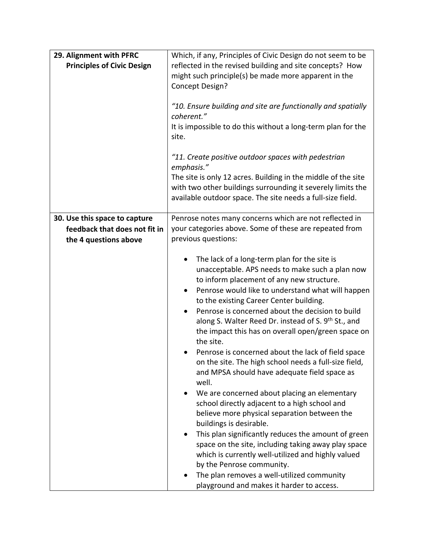| 29. Alignment with PFRC<br><b>Principles of Civic Design</b> | Which, if any, Principles of Civic Design do not seem to be<br>reflected in the revised building and site concepts? How<br>might such principle(s) be made more apparent in the<br>Concept Design?<br>"10. Ensure building and site are functionally and spatially<br>coherent."<br>It is impossible to do this without a long-term plan for the<br>site.<br>"11. Create positive outdoor spaces with pedestrian<br>emphasis."<br>The site is only 12 acres. Building in the middle of the site<br>with two other buildings surrounding it severely limits the                                                                                                                                                                                                                                                                                                                                                                                                                                                                                                                                      |
|--------------------------------------------------------------|-----------------------------------------------------------------------------------------------------------------------------------------------------------------------------------------------------------------------------------------------------------------------------------------------------------------------------------------------------------------------------------------------------------------------------------------------------------------------------------------------------------------------------------------------------------------------------------------------------------------------------------------------------------------------------------------------------------------------------------------------------------------------------------------------------------------------------------------------------------------------------------------------------------------------------------------------------------------------------------------------------------------------------------------------------------------------------------------------------|
| 30. Use this space to capture                                | available outdoor space. The site needs a full-size field.<br>Penrose notes many concerns which are not reflected in                                                                                                                                                                                                                                                                                                                                                                                                                                                                                                                                                                                                                                                                                                                                                                                                                                                                                                                                                                                |
| feedback that does not fit in<br>the 4 questions above       | your categories above. Some of these are repeated from<br>previous questions:                                                                                                                                                                                                                                                                                                                                                                                                                                                                                                                                                                                                                                                                                                                                                                                                                                                                                                                                                                                                                       |
|                                                              | The lack of a long-term plan for the site is<br>$\bullet$<br>unacceptable. APS needs to make such a plan now<br>to inform placement of any new structure.<br>Penrose would like to understand what will happen<br>to the existing Career Center building.<br>Penrose is concerned about the decision to build<br>along S. Walter Reed Dr. instead of S. 9 <sup>th</sup> St., and<br>the impact this has on overall open/green space on<br>the site.<br>Penrose is concerned about the lack of field space<br>on the site. The high school needs a full-size field,<br>and MPSA should have adequate field space as<br>well.<br>We are concerned about placing an elementary<br>school directly adjacent to a high school and<br>believe more physical separation between the<br>buildings is desirable.<br>This plan significantly reduces the amount of green<br>space on the site, including taking away play space<br>which is currently well-utilized and highly valued<br>by the Penrose community.<br>The plan removes a well-utilized community<br>playground and makes it harder to access. |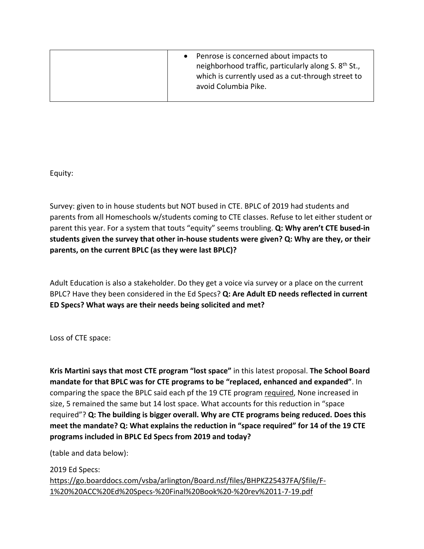| avoid Columbia Pike. |
|----------------------|
|----------------------|

Equity:

Survey: given to in house students but NOT bused in CTE. BPLC of 2019 had students and parents from all Homeschools w/students coming to CTE classes. Refuse to let either student or parent this year. For a system that touts "equity" seems troubling. **Q: Why aren't CTE bused-in students given the survey that other in-house students were given? Q: Why are they, or their parents, on the current BPLC (as they were last BPLC)?**

Adult Education is also a stakeholder. Do they get a voice via survey or a place on the current BPLC? Have they been considered in the Ed Specs? **Q: Are Adult ED needs reflected in current ED Specs? What ways are their needs being solicited and met?**

Loss of CTE space:

**Kris Martini says that most CTE program "lost space"** in this latest proposal. **The School Board mandate for that BPLC was for CTE programs to be "replaced, enhanced and expanded"**. In comparing the space the BPLC said each pf the 19 CTE program required, None increased in size, 5 remained the same but 14 lost space. What accounts for this reduction in "space required"? **Q: The building is bigger overall. Why are CTE programs being reduced. Does this meet the mandate? Q: What explains the reduction in "space required" for 14 of the 19 CTE programs included in BPLC Ed Specs from 2019 and today?**

(table and data below):

2019 Ed Specs: [https://go.boarddocs.com/vsba/arlington/Board.nsf/files/BHPKZ25437FA/\\$file/F-](https://go.boarddocs.com/vsba/arlington/Board.nsf/files/BHPKZ25437FA/$file/F-1%20%20ACC%20Ed%20Specs-%20Final%20Book%20-%20rev%2011-7-19.pdf)[1%20%20ACC%20Ed%20Specs-%20Final%20Book%20-%20rev%2011-7-19.pdf](https://go.boarddocs.com/vsba/arlington/Board.nsf/files/BHPKZ25437FA/$file/F-1%20%20ACC%20Ed%20Specs-%20Final%20Book%20-%20rev%2011-7-19.pdf)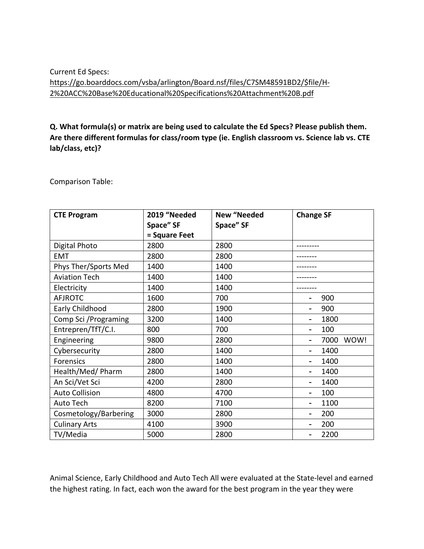# Current Ed Specs: [https://go.boarddocs.com/vsba/arlington/Board.nsf/files/C7SM48591BD2/\\$file/H-](https://go.boarddocs.com/vsba/arlington/Board.nsf/files/C7SM48591BD2/$file/H-2%20ACC%20Base%20Educational%20Specifications%20Attachment%20B.pdf)[2%20ACC%20Base%20Educational%20Specifications%20Attachment%20B.pdf](https://go.boarddocs.com/vsba/arlington/Board.nsf/files/C7SM48591BD2/$file/H-2%20ACC%20Base%20Educational%20Specifications%20Attachment%20B.pdf)

# **Q. What formula(s) or matrix are being used to calculate the Ed Specs? Please publish them. Are there different formulas for class/room type (ie. English classroom vs. Science lab vs. CTE lab/class, etc)?**

Comparison Table:

| <b>CTE Program</b>    | 2019 "Needed  | <b>New "Needed</b> | <b>Change SF</b>                 |
|-----------------------|---------------|--------------------|----------------------------------|
|                       | Space" SF     | Space" SF          |                                  |
|                       | = Square Feet |                    |                                  |
| Digital Photo         | 2800          | 2800               |                                  |
| <b>EMT</b>            | 2800          | 2800               |                                  |
| Phys Ther/Sports Med  | 1400          | 1400               |                                  |
| <b>Aviation Tech</b>  | 1400          | 1400               |                                  |
| Electricity           | 1400          | 1400               |                                  |
| <b>AFJROTC</b>        | 1600          | 700                | 900                              |
| Early Childhood       | 2800          | 1900               | 900<br>-                         |
| Comp Sci / Programing | 3200          | 1400               | 1800<br>$\overline{\phantom{0}}$ |
| Entrepren/TfT/C.I.    | 800           | 700                | 100<br>-                         |
| Engineering           | 9800          | 2800               | WOW!<br>7000<br>-                |
| Cybersecurity         | 2800          | 1400               | 1400<br>-                        |
| Forensics             | 2800          | 1400               | 1400<br>-                        |
| Health/Med/ Pharm     | 2800          | 1400               | 1400                             |
| An Sci/Vet Sci        | 4200          | 2800               | 1400<br>-                        |
| <b>Auto Collision</b> | 4800          | 4700               | 100<br>-                         |
| Auto Tech             | 8200          | 7100               | 1100                             |
| Cosmetology/Barbering | 3000          | 2800               | 200<br>۰                         |
| <b>Culinary Arts</b>  | 4100          | 3900               | 200<br>-                         |
| TV/Media              | 5000          | 2800               | 2200<br>-                        |

Animal Science, Early Childhood and Auto Tech All were evaluated at the State-level and earned the highest rating. In fact, each won the award for the best program in the year they were